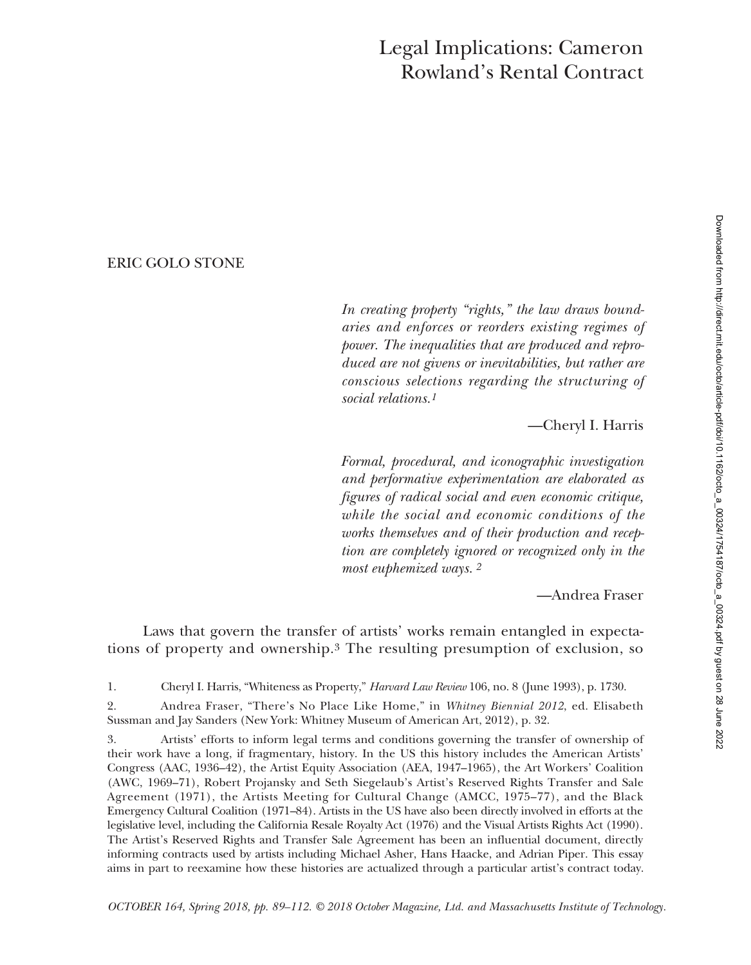# Legal Implications: Cameron Rowland's Rental Contract

# ERIC GoLo SToNE

*In creating property "rights," the law draws boundaries and enforces or reorders existing regimes of power. The inequalities that are produced and reproduced are not givens or inevitabilities, but rather are conscious selections regarding the structuring of social relations.1*

—Cheryl I. Harris

*Formal, procedural, and iconographic investigation and performative experimentation are elaborated as figures of radical social and even economic critique, while the social and economic conditions of the works themselves and of their production and reception are completely ignored or recognized only in the most euphemized ways. <sup>2</sup>*

—Andrea Fraser

Laws that govern the transfer of artists' works remain entangled in expectations of property and ownership.3 The resulting presumption of exclusion, so

1. Cheryl I. Harris, "Whiteness as Property," *Harvard Law Review* 106, no. 8 (June 1993), p. 1730.

2. Andrea Fraser, "There's No Place Like Home," in *Whitney Biennial 2012*, ed. Elisabeth Sussman and Jay Sanders (New York: Whitney Museum of American Art, 2012), p. 32.

3. Artists' efforts to inform legal terms and conditions governing the transfer of ownership of their work have a long, if fragmentary, history. In the US this history includes the American Artists' Congress (AAC, 1936–42), the Artist Equity Association (AEA, 1947–1965), the Art Workers' Coalition (AWC, 1969–71), Robert Projansky and Seth Siegelaub's Artist's Reserved Rights Transfer and Sale Agreement (1971), the Artists Meeting for Cultural Change (AMCC, 1975–77), and the Black Emergency Cultural Coalition (1971–84). Artists in the US have also been directly involved in efforts at the legislative level, including the California Resale Royalty Act (1976) and the Visual Artists Rights Act (1990). The Artist's Reserved Rights and Transfer Sale Agreement has been an influential document, directly informing contracts used by artists including Michael Asher, Hans Haacke, and Adrian Piper. This essay aims in part to reexamine how these histories are actualized through a particular artist's contract today.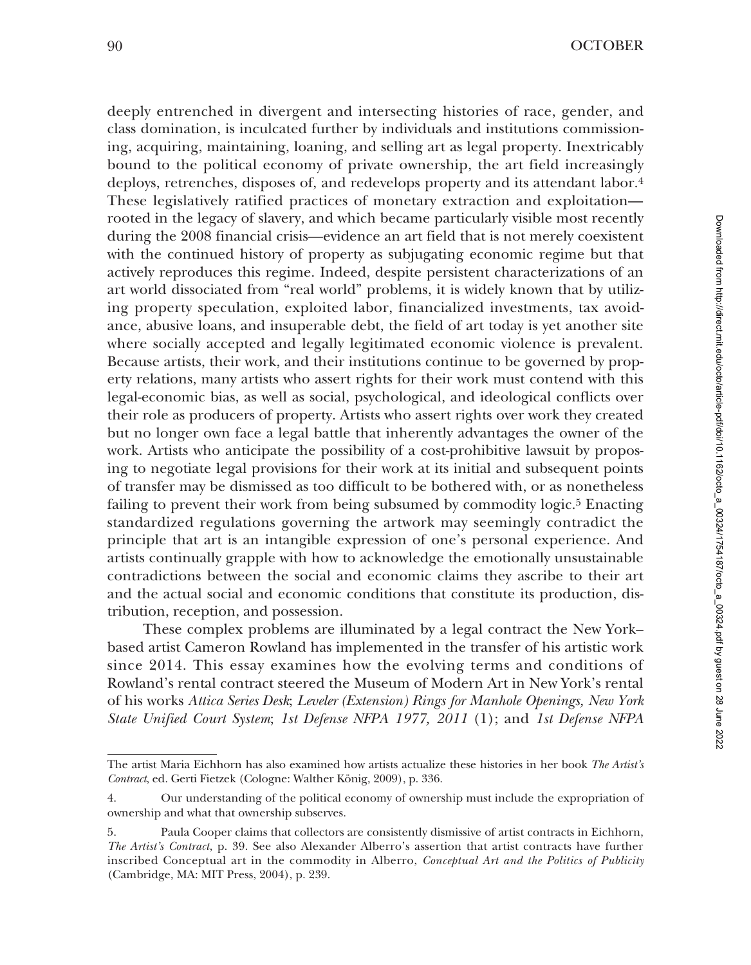deeply entrenched in divergent and intersecting histories of race, gender, and class domination, is inculcated further by individuals and institutions commissioning, acquiring, maintaining, loaning, and selling art as legal property. Inextricably bound to the political economy of private ownership, the art field increasingly deploys, retrenches, disposes of, and redevelops property and its attendant labor.4 These legislatively ratified practices of monetary extraction and exploitation rooted in the legacy of slavery, and which became particularly visible most recently during the 2008 financial crisis—evidence an art field that is not merely coexistent with the continued history of property as subjugating economic regime but that actively reproduces this regime. Indeed, despite persistent characterizations of an art world dissociated from "real world" problems, it is widely known that by utilizing property speculation, exploited labor, financialized investments, tax avoidance, abusive loans, and insuperable debt, the field of art today is yet another site where socially accepted and legally legitimated economic violence is prevalent. Because artists, their work, and their institutions continue to be governed by property relations, many artists who assert rights for their work must contend with this legal-economic bias, as well as social, psychological, and ideological conflicts over their role as producers of property. Artists who assert rights over work they created but no longer own face a legal battle that inherently advantages the owner of the work. Artists who anticipate the possibility of a cost-prohibitive lawsuit by proposing to negotiate legal provisions for their work at its initial and subsequent points of transfer may be dismissed as too difficult to be bothered with, or as nonetheless failing to prevent their work from being subsumed by commodity logic.<sup>5</sup> Enacting standardized regulations governing the artwork may seemingly contradict the principle that art is an intangible expression of one's personal experience. And artists continually grapple with how to acknowledge the emotionally unsustainable contradictions between the social and economic claims they ascribe to their art and the actual social and economic conditions that constitute its production, distribution, reception, and possession.

These complex problems are illuminated by a legal contract the New York– based artist Cameron Rowland has implemented in the transfer of his artistic work since 2014. This essay examines how the evolving terms and conditions of Rowland's rental contract steered the Museum of Modern Art in New York's rental of his works *Attica Series Desk*; *Leveler (Extension) Rings for Manhole Openings, New York State Unified Court System*; *1st Defense NFPA 1977, 2011* (1); and *1st Defense NFPA*

The artist Maria Eichhorn has also examined how artists actualize these histories in her book *The Artist's Contract*, ed. Gerti Fietzek (Cologne: Walther König, 2009), p. 336.

<sup>4.</sup> our understanding of the political economy of ownership must include the expropriation of ownership and what that ownership subserves.

<sup>5.</sup> Paula Cooper claims that collectors are consistently dismissive of artist contracts in Eichhorn, *The Artist's Contract*, p. 39. See also Alexander Alberro's assertion that artist contracts have further inscribed Conceptual art in the commodity in Alberro, *Conceptual Art and the Politics of Publicity* (Cambridge, MA: MIT Press, 2004), p. 239.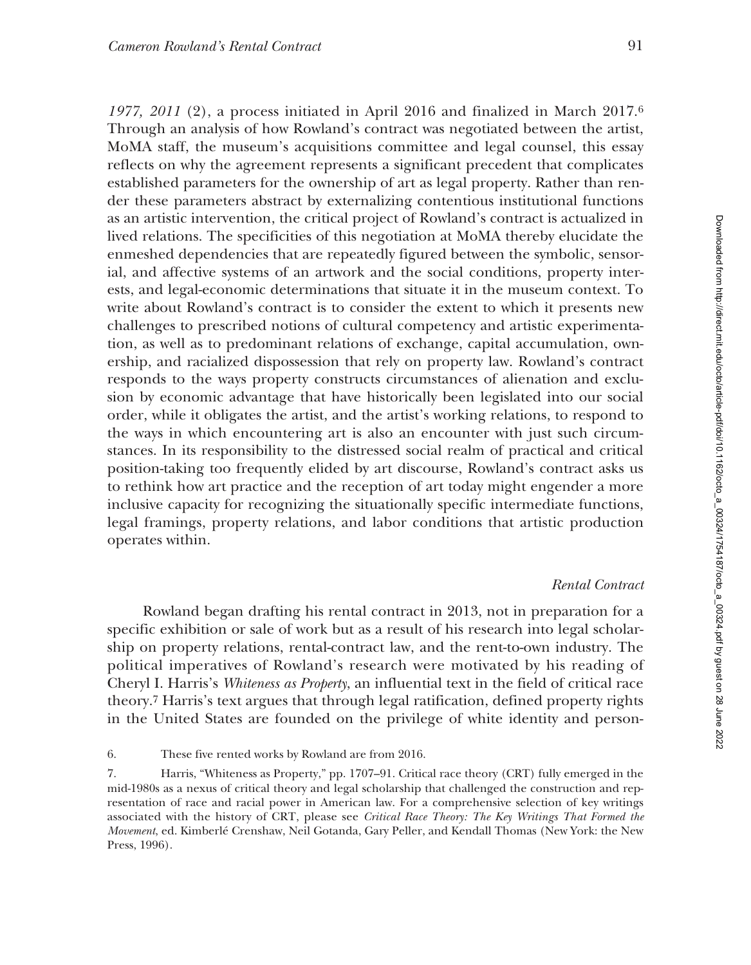*1977, 2011* (2), a process initiated in April 2016 and finalized in March 2017.6 Through an analysis of how Rowland's contract was negotiated between the artist, MoMA staff, the museum's acquisitions committee and legal counsel, this essay reflects on why the agreement represents a significant precedent that complicates established parameters for the ownership of art as legal property. Rather than render these parameters abstract by externalizing contentious institutional functions as an artistic intervention, the critical project of Rowland's contract is actualized in lived relations. The specificities of this negotiation at MoMA thereby elucidate the enmeshed dependencies that are repeatedly figured between the symbolic, sensorial, and affective systems of an artwork and the social conditions, property interests, and legal-economic determinations that situate it in the museum context. To write about Rowland's contract is to consider the extent to which it presents new challenges to prescribed notions of cultural competency and artistic experimentation, as well as to predominant relations of exchange, capital accumulation, ownership, and racialized dispossession that rely on property law. Rowland's contract responds to the ways property constructs circumstances of alienation and exclusion by economic advantage that have historically been legislated into our social order, while it obligates the artist, and the artist's working relations, to respond to the ways in which encountering art is also an encounter with just such circumstances. In its responsibility to the distressed social realm of practical and critical position-taking too frequently elided by art discourse, Rowland's contract asks us to rethink how art practice and the reception of art today might engender a more inclusive capacity for recognizing the situationally specific intermediate functions, legal framings, property relations, and labor conditions that artistic production

#### *Rental Contract*

Rowland began drafting his rental contract in 2013, not in preparation for a specific exhibition or sale of work but as a result of his research into legal scholarship on property relations, rental-contract law, and the rent-to-own industry. The political imperatives of Rowland's research were motivated by his reading of Cheryl I. Harris's *Whiteness as Property*, an influential text in the field of critical race theory.7 Harris's text argues that through legal ratification, defined property rights in the United States are founded on the privilege of white identity and person-

operates within.

<sup>6.</sup> These five rented works by Rowland are from 2016.

<sup>7.</sup> Harris, "Whiteness as Property," pp. 1707–91. Critical race theory (CRT) fully emerged in the mid-1980s as a nexus of critical theory and legal scholarship that challenged the construction and representation of race and racial power in American law. For a comprehensive selection of key writings associated with the history of CRT, please see *Critical Race Theory: The Key Writings That Formed the Movement*, ed. Kimberlé Crenshaw, Neil Gotanda, Gary Peller, and Kendall Thomas (New York: the New Press, 1996).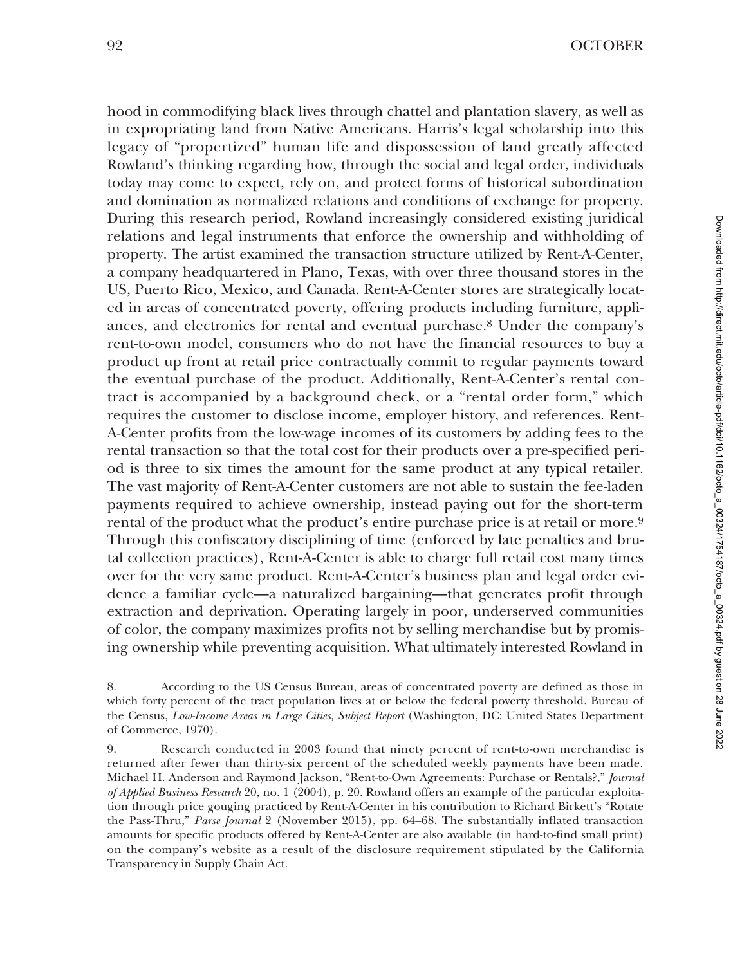92 oCTOBER

hood in commodifying black lives through chattel and plantation slavery, as well as in expropriating land from Native Americans. Harris's legal scholarship into this legacy of "propertized" human life and dispossession of land greatly affected Rowland's thinking regarding how, through the social and legal order, individuals today may come to expect, rely on, and protect forms of historical subordination and domination as normalized relations and conditions of exchange for property. During this research period, Rowland increasingly considered existing juridical relations and legal instruments that enforce the ownership and withholding of property. The artist examined the transaction structure utilized by Rent-A-Center, a company headquartered in Plano, Texas, with over three thousand stores in the US, Puerto Rico, Mexico, and Canada. Rent-A-Center stores are strategically located in areas of concentrated poverty, offering products including furniture, appliances, and electronics for rental and eventual purchase.8 Under the company's rent-to-own model, consumers who do not have the financial resources to buy a product up front at retail price contractually commit to regular payments toward the eventual purchase of the product. Additionally, Rent-A-Center's rental contract is accompanied by a background check, or a "rental order form," which requires the customer to disclose income, employer history, and references. Rent-A-Center profits from the low-wage incomes of its customers by adding fees to the rental transaction so that the total cost for their products over a pre-specified period is three to six times the amount for the same product at any typical retailer. The vast majority of Rent-A-Center customers are not able to sustain the fee-laden payments required to achieve ownership, instead paying out for the short-term rental of the product what the product's entire purchase price is at retail or more.9 Through this confiscatory disciplining of time (enforced by late penalties and brutal collection practices), Rent-A-Center is able to charge full retail cost many times over for the very same product. Rent-A-Center's business plan and legal order evidence a familiar cycle—a naturalized bargaining—that generates profit through extraction and deprivation. operating largely in poor, underserved communities of color, the company maximizes profits not by selling merchandise but by promising ownership while preventing acquisition. What ultimately interested Rowland in

8. According to the US Census Bureau, areas of concentrated poverty are defined as those in which forty percent of the tract population lives at or below the federal poverty threshold. Bureau of the Census, *Low-Income Areas in Large Cities, Subject Report* (Washington, DC: United States Department of Commerce, 1970).

9. Research conducted in 2003 found that ninety percent of rent-to-own merchandise is returned after fewer than thirty-six percent of the scheduled weekly payments have been made. Michael H. Anderson and Raymond Jackson, "Rent-to-own Agreements: Purchase or Rentals?," *Journal of Applied Business Research* 20, no. 1 (2004), p. 20. Rowland offers an example of the particular exploitation through price gouging practiced by Rent-A-Center in his contribution to Richard Birkett's "Rotate the Pass-Thru," *Parse Journal* 2 (November 2015), pp. 64–68. The substantially inflated transaction amounts for specific products offered by Rent-A-Center are also available (in hard-to-find small print) on the company's website as a result of the disclosure requirement stipulated by the California Transparency in Supply Chain Act.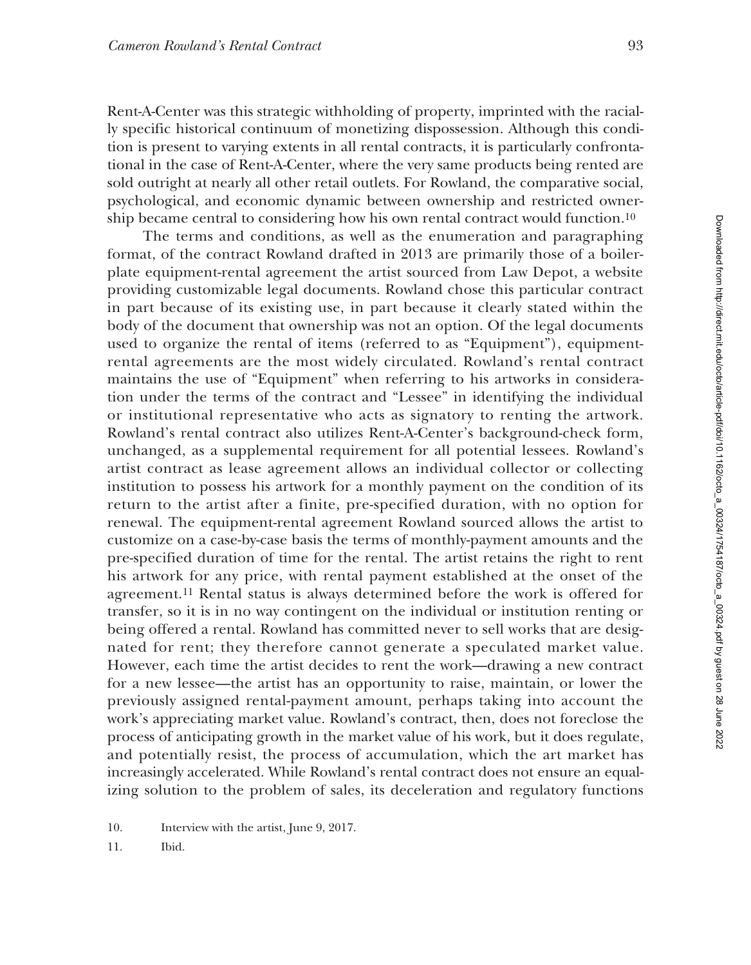Rent-A-Center was this strategic withholding of property, imprinted with the racially specific historical continuum of monetizing dispossession. Although this condition is present to varying extents in all rental contracts, it is particularly confrontational in the case of Rent-A-Center, where the very same products being rented are sold outright at nearly all other retail outlets. For Rowland, the comparative social, psychological, and economic dynamic between ownership and restricted ownership became central to considering how his own rental contract would function.<sup>10</sup>

The terms and conditions, as well as the enumeration and paragraphing format, of the contract Rowland drafted in 2013 are primarily those of a boilerplate equipment-rental agreement the artist sourced from Law Depot, a website providing customizable legal documents. Rowland chose this particular contract in part because of its existing use, in part because it clearly stated within the body of the document that ownership was not an option. of the legal documents used to organize the rental of items (referred to as "Equipment"), equipmentrental agreements are the most widely circulated. Rowland's rental contract maintains the use of "Equipment" when referring to his artworks in consideration under the terms of the contract and "Lessee" in identifying the individual or institutional representative who acts as signatory to renting the artwork. Rowland's rental contract also utilizes Rent-A-Center's background-check form, unchanged, as a supplemental requirement for all potential lessees. Rowland's artist contract as lease agreement allows an individual collector or collecting institution to possess his artwork for a monthly payment on the condition of its return to the artist after a finite, pre-specified duration, with no option for renewal. The equipment-rental agreement Rowland sourced allows the artist to customize on a case-by-case basis the terms of monthly-payment amounts and the pre-specified duration of time for the rental. The artist retains the right to rent his artwork for any price, with rental payment established at the onset of the agreement.11 Rental status is always determined before the work is offered for transfer, so it is in no way contingent on the individual or institution renting or being offered a rental. Rowland has committed never to sell works that are designated for rent; they therefore cannot generate a speculated market value. However, each time the artist decides to rent the work—drawing a new contract for a new lessee—the artist has an opportunity to raise, maintain, or lower the previously assigned rental-payment amount, perhaps taking into account the work's appreciating market value. Rowland's contract, then, does not foreclose the process of anticipating growth in the market value of his work, but it does regulate, and potentially resist, the process of accumulation, which the art market has increasingly accelerated. While Rowland's rental contract does not ensure an equalizing solution to the problem of sales, its deceleration and regulatory functions

11. Ibid.

<sup>10.</sup> Interview with the artist, June 9, 2017.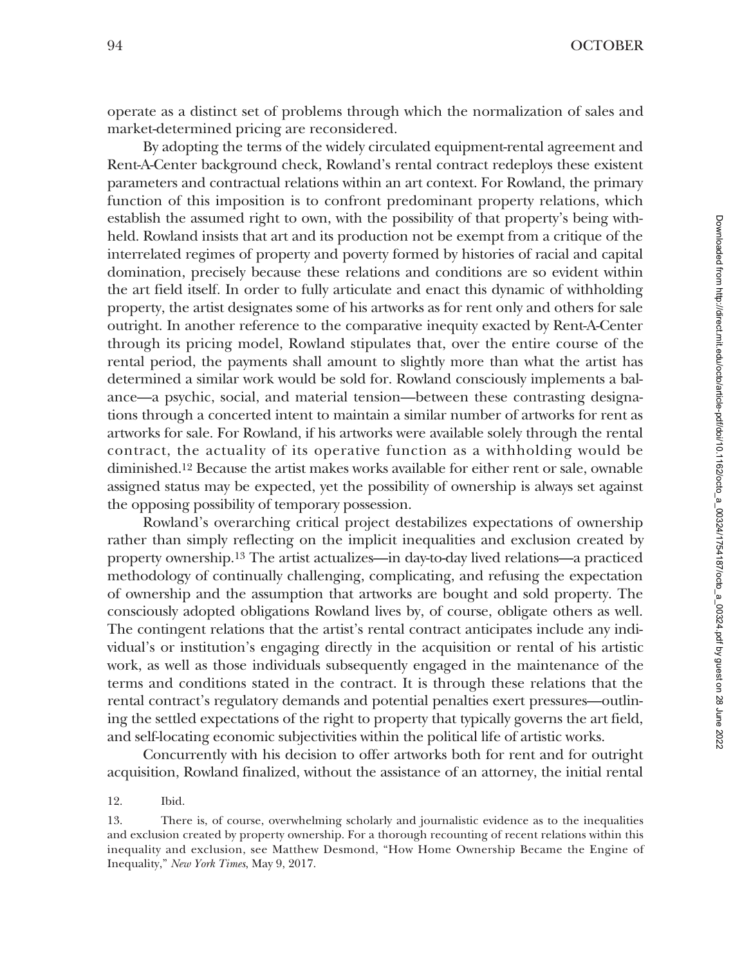By adopting the terms of the widely circulated equipment-rental agreement and Rent-A-Center background check, Rowland's rental contract redeploys these existent parameters and contractual relations within an art context. For Rowland, the primary function of this imposition is to confront predominant property relations, which establish the assumed right to own, with the possibility of that property's being withheld. Rowland insists that art and its production not be exempt from a critique of the interrelated regimes of property and poverty formed by histories of racial and capital domination, precisely because these relations and conditions are so evident within the art field itself. In order to fully articulate and enact this dynamic of withholding property, the artist designates some of his artworks as for rent only and others for sale outright. In another reference to the comparative inequity exacted by Rent-A-Center through its pricing model, Rowland stipulates that, over the entire course of the rental period, the payments shall amount to slightly more than what the artist has determined a similar work would be sold for. Rowland consciously implements a balance—a psychic, social, and material tension—between these contrasting designations through a concerted intent to maintain a similar number of artworks for rent as artworks for sale. For Rowland, if his artworks were available solely through the rental contract, the actuality of its operative function as a withholding would be diminished.12 Because the artist makes works available for either rent or sale, ownable assigned status may be expected, yet the possibility of ownership is always set against the opposing possibility of temporary possession.

Rowland's overarching critical project destabilizes expectations of ownership rather than simply reflecting on the implicit inequalities and exclusion created by property ownership.13 The artist actualizes—in day-to-day lived relations—a practiced methodology of continually challenging, complicating, and refusing the expectation of ownership and the assumption that artworks are bought and sold property. The consciously adopted obligations Rowland lives by, of course, obligate others as well. The contingent relations that the artist's rental contract anticipates include any individual's or institution's engaging directly in the acquisition or rental of his artistic work, as well as those individuals subsequently engaged in the maintenance of the terms and conditions stated in the contract. It is through these relations that the rental contract's regulatory demands and potential penalties exert pressures—outlining the settled expectations of the right to property that typically governs the art field, and self-locating economic subjectivities within the political life of artistic works.

Concurrently with his decision to offer artworks both for rent and for outright acquisition, Rowland finalized, without the assistance of an attorney, the initial rental

12. Ibid.

<sup>13.</sup> There is, of course, overwhelming scholarly and journalistic evidence as to the inequalities and exclusion created by property ownership. For a thorough recounting of recent relations within this inequality and exclusion, see Matthew Desmond, "How Home Ownership Became the Engine of Inequality," *New York Times*, May 9, 2017.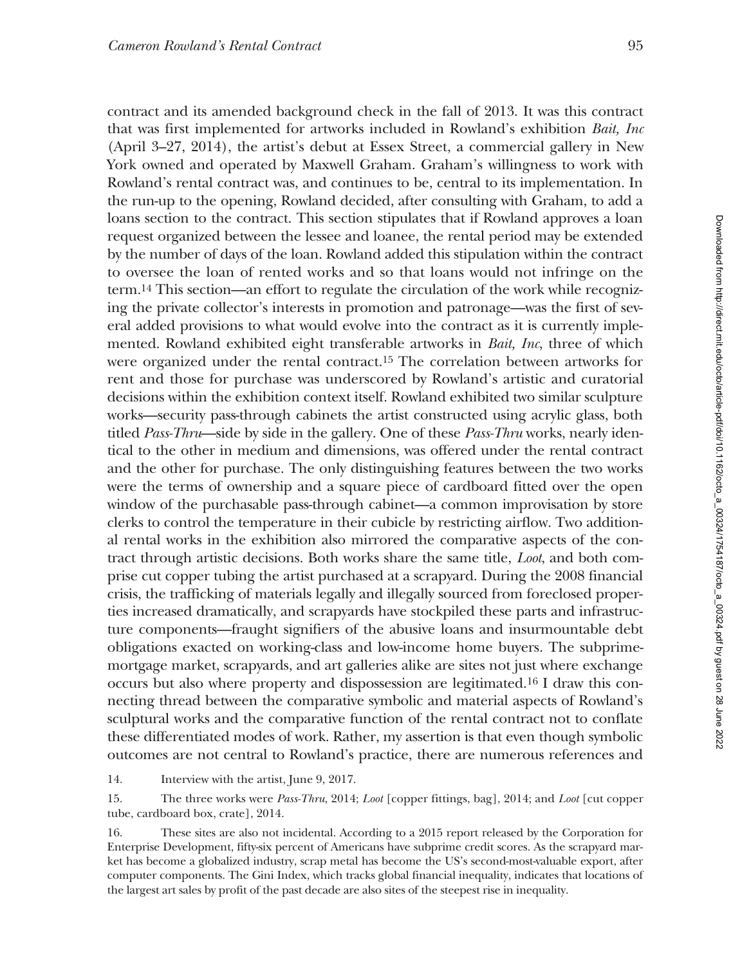contract and its amended background check in the fall of 2013. It was this contract that was first implemented for artworks included in Rowland's exhibition *Bait, Inc* (April 3–27, 2014), the artist's debut at Essex Street, a commercial gallery in New York owned and operated by Maxwell Graham. Graham's willingness to work with Rowland's rental contract was, and continues to be, central to its implementation. In the run-up to the opening, Rowland decided, after consulting with Graham, to add a loans section to the contract. This section stipulates that if Rowland approves a loan request organized between the lessee and loanee, the rental period may be extended by the number of days of the loan. Rowland added this stipulation within the contract to oversee the loan of rented works and so that loans would not infringe on the term.14 This section—an effort to regulate the circulation of the work while recognizing the private collector's interests in promotion and patronage—was the first of several added provisions to what would evolve into the contract as it is currently implemented. Rowland exhibited eight transferable artworks in *Bait, Inc*, three of which were organized under the rental contract.15 The correlation between artworks for rent and those for purchase was underscored by Rowland's artistic and curatorial decisions within the exhibition context itself. Rowland exhibited two similar sculpture works—security pass-through cabinets the artist constructed using acrylic glass, both titled *Pass-Thru*—side by side in the gallery. One of these *Pass-Thru* works, nearly identical to the other in medium and dimensions, was offered under the rental contract and the other for purchase. The only distinguishing features between the two works were the terms of ownership and a square piece of cardboard fitted over the open window of the purchasable pass-through cabinet—a common improvisation by store clerks to control the temperature in their cubicle by restricting airflow. Two additional rental works in the exhibition also mirrored the comparative aspects of the contract through artistic decisions. Both works share the same title, *Loot*, and both comprise cut copper tubing the artist purchased at a scrapyard. During the 2008 financial crisis, the trafficking of materials legally and illegally sourced from foreclosed properties increased dramatically, and scrapyards have stockpiled these parts and infrastructure components—fraught signifiers of the abusive loans and insurmountable debt obligations exacted on working-class and low-income home buyers. The subprimemortgage market, scrapyards, and art galleries alike are sites not just where exchange occurs but also where property and dispossession are legitimated.16 I draw this connecting thread between the comparative symbolic and material aspects of Rowland's sculptural works and the comparative function of the rental contract not to conflate these differentiated modes of work. Rather, my assertion is that even though symbolic outcomes are not central to Rowland's practice, there are numerous references and

14. Interview with the artist, June 9, 2017.

15. The three works were *Pass-Thru*, 2014; *Loot* [copper fittings, bag], 2014; and *Loot* [cut copper tube, cardboard box, crate], 2014.

16. These sites are also not incidental. According to a 2015 report released by the Corporation for Enterprise Development, fifty-six percent of Americans have subprime credit scores. As the scrapyard market has become a globalized industry, scrap metal has become the US's second-most-valuable export, after computer components. The Gini Index, which tracks global financial inequality, indicates that locations of the largest art sales by profit of the past decade are also sites of the steepest rise in inequality.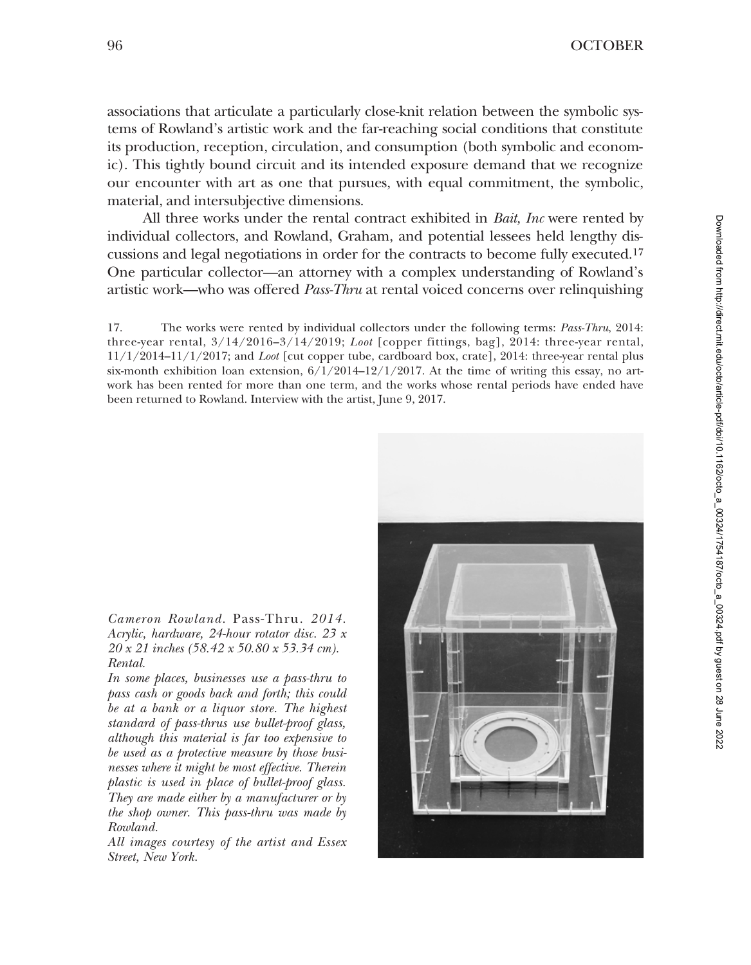associations that articulate a particularly close-knit relation between the symbolic systems of Rowland's artistic work and the far-reaching social conditions that constitute its production, reception, circulation, and consumption (both symbolic and economic). This tightly bound circuit and its intended exposure demand that we recognize our encounter with art as one that pursues, with equal commitment, the symbolic, material, and intersubjective dimensions.

All three works under the rental contract exhibited in *Bait, Inc* were rented by individual collectors, and Rowland, Graham, and potential lessees held lengthy discussions and legal negotiations in order for the contracts to become fully executed.17 one particular collector—an attorney with a complex understanding of Rowland's artistic work—who was offered *Pass-Thru* at rental voiced concerns over relinquishing

17. The works were rented by individual collectors under the following terms: *Pass-Thru*, 2014: three-year rental, 3/14/2016–3/14/2019; *Loot* [copper fittings, bag], 2014: three-year rental, 11/1/2014–11/1/2017; and *Loot* [cut copper tube, cardboard box, crate], 2014: three-year rental plus six-month exhibition loan extension,  $6/1/2014-12/1/2017$ . At the time of writing this essay, no artwork has been rented for more than one term, and the works whose rental periods have ended have been returned to Rowland. Interview with the artist, June 9, 2017.

*Cameron Rowland.* Pass-Thru*. 2014. Acrylic, hardware, 24-hour rotator disc. 23 x 20 x 21 inches (58.42 x 50.80 x 53.34 cm). Rental.*

*In some places, businesses use a pass-thru to pass cash or goods back and forth; this could be at a bank or a liquor store. The highest standard of pass-thrus use bullet-proof glass, although this material is far too expensive to be used as a protective measure by those businesses where it might be most effective. Therein plastic is used in place of bullet-proof glass. They are made either by a manufacturer or by the shop owner. This pass-thru was made by Rowland.*

*All images courtesy of the artist and Essex Street, New York.*

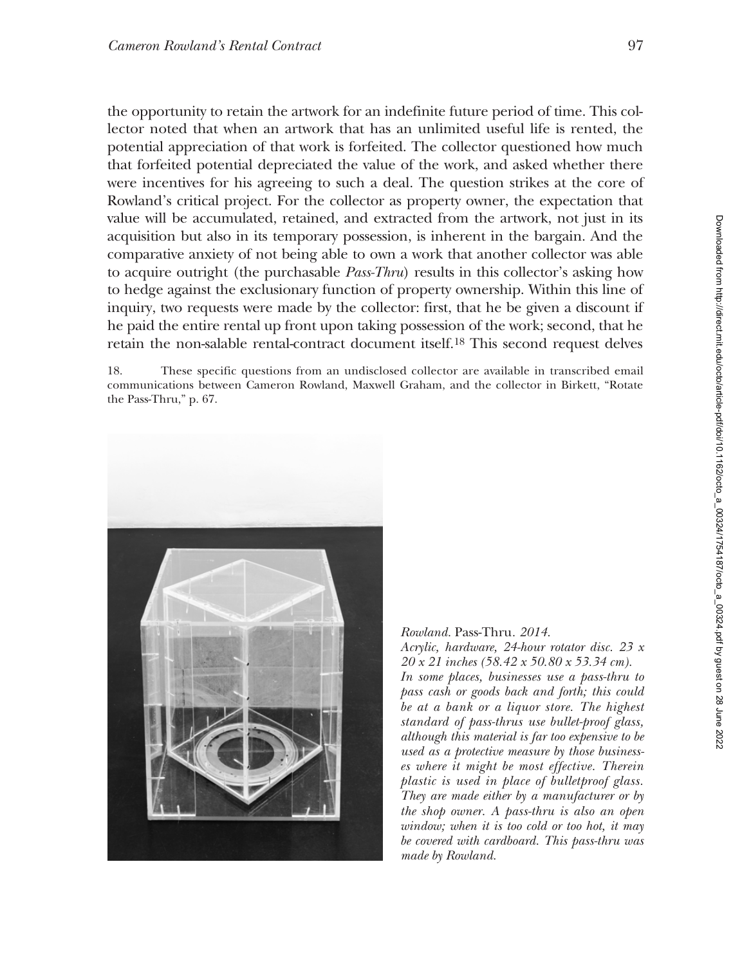the opportunity to retain the artwork for an indefinite future period of time. This collector noted that when an artwork that has an unlimited useful life is rented, the potential appreciation of that work is forfeited. The collector questioned how much that forfeited potential depreciated the value of the work, and asked whether there were incentives for his agreeing to such a deal. The question strikes at the core of Rowland's critical project. For the collector as property owner, the expectation that value will be accumulated, retained, and extracted from the artwork, not just in its acquisition but also in its temporary possession, is inherent in the bargain. And the comparative anxiety of not being able to own a work that another collector was able to acquire outright (the purchasable *Pass-Thru*) results in this collector's asking how to hedge against the exclusionary function of property ownership. Within this line of inquiry, two requests were made by the collector: first, that he be given a discount if he paid the entire rental up front upon taking possession of the work; second, that he retain the non-salable rental-contract document itself.18 This second request delves

18. These specific questions from an undisclosed collector are available in transcribed email communications between Cameron Rowland, Maxwell Graham, and the collector in Birkett, "Rotate the Pass-Thru," p. 67.



*Rowland.* Pass-Thru*. 2014. Acrylic, hardware, 24-hour rotator disc. 23 x 20 x 21 inches (58.42 x 50.80 x 53.34 cm). In some places, businesses use a pass-thru to pass cash or goods back and forth; this could be at a bank or a liquor store. The highest standard of pass-thrus use bullet-proof glass, although this material is far too expensive to be used as a protective measure by those businesses where it might be most effective. Therein plastic is used in place of bulletproof glass. They are made either by a manufacturer or by the shop owner. A pass-thru is also an open window; when it is too cold or too hot, it may be covered with cardboard. This pass-thru was made by Rowland.*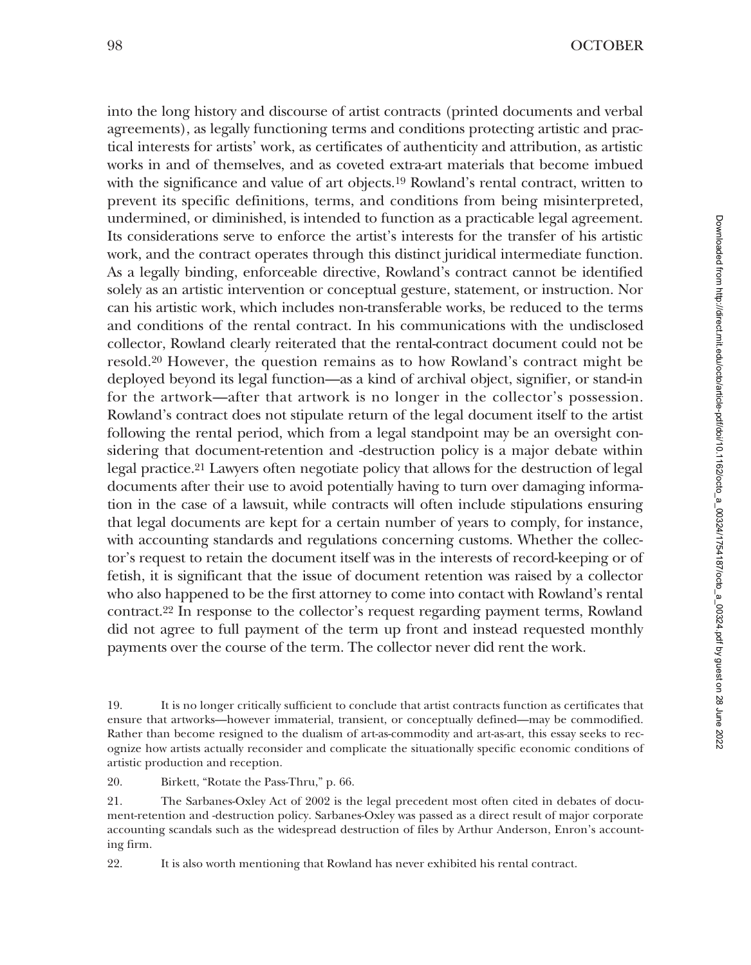98 oCTOBER

into the long history and discourse of artist contracts (printed documents and verbal agreements), as legally functioning terms and conditions protecting artistic and practical interests for artists' work, as certificates of authenticity and attribution, as artistic works in and of themselves, and as coveted extra-art materials that become imbued with the significance and value of art objects.<sup>19</sup> Rowland's rental contract, written to prevent its specific definitions, terms, and conditions from being misinterpreted, undermined, or diminished, is intended to function as a practicable legal agreement. Its considerations serve to enforce the artist's interests for the transfer of his artistic work, and the contract operates through this distinct juridical intermediate function. As a legally binding, enforceable directive, Rowland's contract cannot be identified solely as an artistic intervention or conceptual gesture, statement, or instruction. Nor can his artistic work, which includes non-transferable works, be reduced to the terms and conditions of the rental contract. In his communications with the undisclosed collector, Rowland clearly reiterated that the rental-contract document could not be resold.20 However, the question remains as to how Rowland's contract might be deployed beyond its legal function—as a kind of archival object, signifier, or stand-in for the artwork—after that artwork is no longer in the collector's possession. Rowland's contract does not stipulate return of the legal document itself to the artist following the rental period, which from a legal standpoint may be an oversight considering that document-retention and -destruction policy is a major debate within legal practice.21 Lawyers often negotiate policy that allows for the destruction of legal documents after their use to avoid potentially having to turn over damaging information in the case of a lawsuit, while contracts will often include stipulations ensuring that legal documents are kept for a certain number of years to comply, for instance, with accounting standards and regulations concerning customs. Whether the collector's request to retain the document itself was in the interests of record-keeping or of fetish, it is significant that the issue of document retention was raised by a collector who also happened to be the first attorney to come into contact with Rowland's rental contract.22 In response to the collector's request regarding payment terms, Rowland did not agree to full payment of the term up front and instead requested monthly payments over the course of the term. The collector never did rent the work.

20. Birkett, "Rotate the Pass-Thru," p. 66.

22. It is also worth mentioning that Rowland has never exhibited his rental contract.

<sup>19.</sup> It is no longer critically sufficient to conclude that artist contracts function as certificates that ensure that artworks—however immaterial, transient, or conceptually defined—may be commodified. Rather than become resigned to the dualism of art-as-commodity and art-as-art, this essay seeks to recognize how artists actually reconsider and complicate the situationally specific economic conditions of artistic production and reception.

<sup>21.</sup> The Sarbanes-oxley Act of 2002 is the legal precedent most often cited in debates of document-retention and -destruction policy. Sarbanes-oxley was passed as a direct result of major corporate accounting scandals such as the widespread destruction of files by Arthur Anderson, Enron's accounting firm.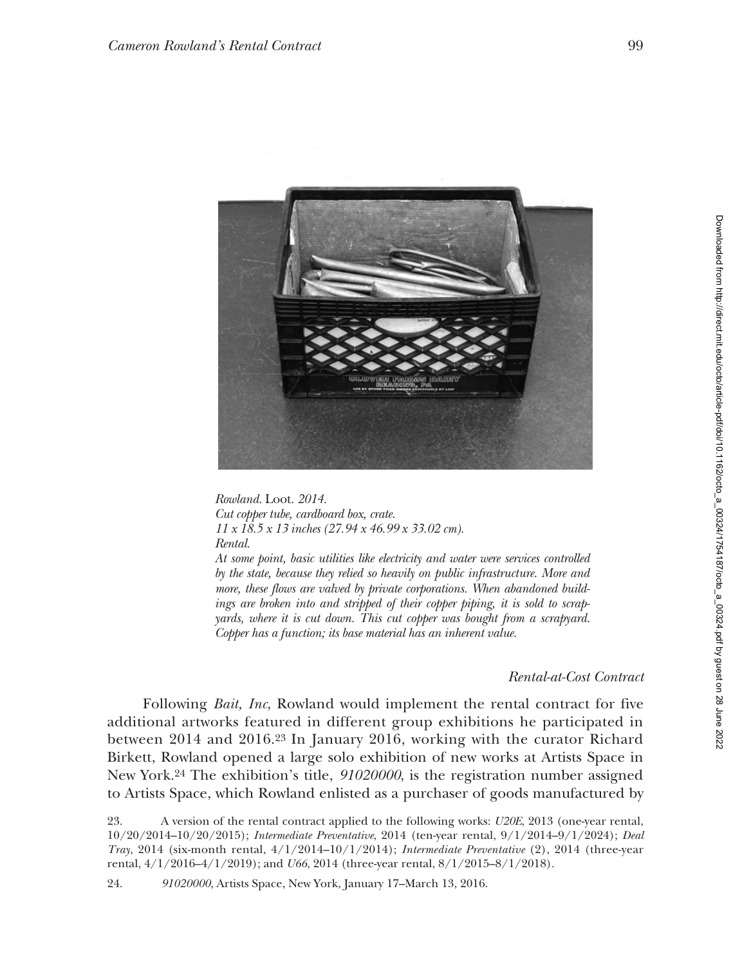

*Rowland.* Loot. *2014. Cut copper tube, cardboard box, crate. 11 x 18.5 x 13 inches (27.94 x 46.99 x 33.02 cm). Rental.*

*At some point, basic utilities like electricity and water were services controlled by the state, because they relied so heavily on public infrastructure. More and more, these flows are valved by private corporations. When abandoned buildings are broken into and stripped of their copper piping, it is sold to scrapyards, where it is cut down. This cut copper was bought from a scrapyard. Copper has a function; its base material has an inherent value.*

### *Rental-at-Cost Contract*

Following *Bait, Inc*, Rowland would implement the rental contract for five additional artworks featured in different group exhibitions he participated in between 2014 and 2016.23 In January 2016, working with the curator Richard Birkett, Rowland opened a large solo exhibition of new works at Artists Space in New York.24 The exhibition's title, *91020000*, is the registration number assigned to Artists Space, which Rowland enlisted as a purchaser of goods manufactured by

23. A version of the rental contract applied to the following works: *U20E*, 2013 (one-year rental, 10/20/2014–10/20/2015); *Intermediate Preventative*, 2014 (ten-year rental, 9/1/2014–9/1/2024); *Deal Tray*, 2014 (six-month rental, 4/1/2014–10/1/2014); *Intermediate Preventative* (2), 2014 (three-year rental, 4/1/2016–4/1/2019); and *U66*, 2014 (three-year rental, 8/1/2015–8/1/2018).

24. *91020000*, Artists Space, New York, January 17–March 13, 2016.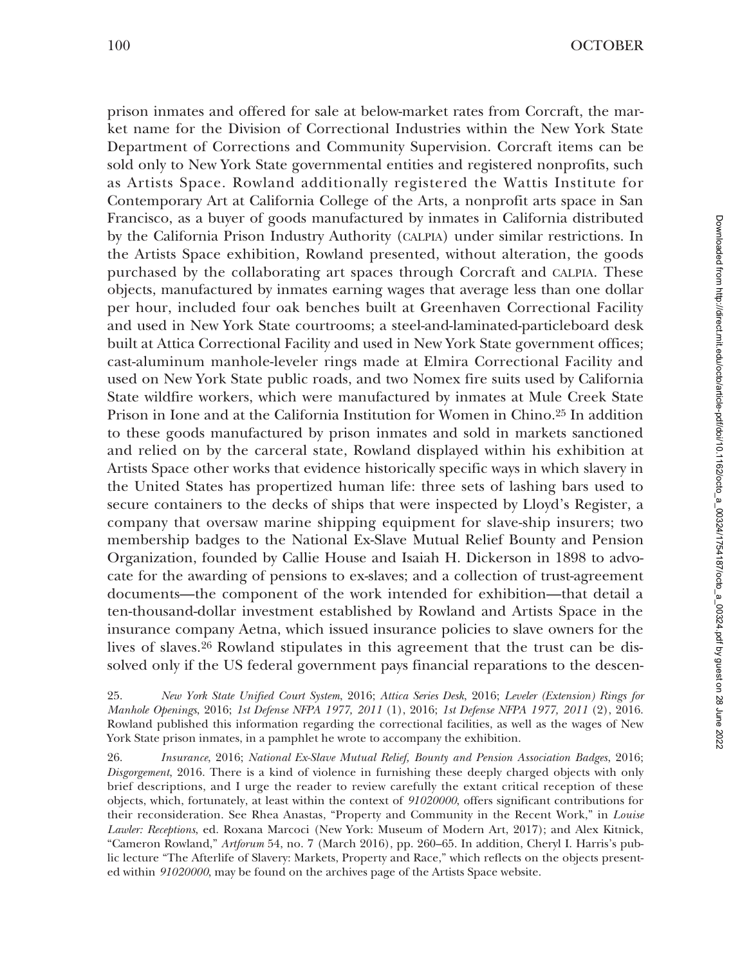prison inmates and offered for sale at below-market rates from Corcraft, the market name for the Division of Correctional Industries within the New York State Department of Corrections and Community Supervision. Corcraft items can be sold only to New York State governmental entities and registered nonprofits, such as Artists Space. Rowland additionally registered the Wattis Institute for Contemporary Art at California College of the Arts, a nonprofit arts space in San Francisco, as a buyer of goods manufactured by inmates in California distributed by the California Prison Industry Authority (CALPIA) under similar restrictions. In the Artists Space exhibition, Rowland presented, without alteration, the goods purchased by the collaborating art spaces through Corcraft and CALPIA. These objects, manufactured by inmates earning wages that average less than one dollar per hour, included four oak benches built at Greenhaven Correctional Facility and used in New York State courtrooms; a steel-and-laminated-particleboard desk built at Attica Correctional Facility and used in New York State government offices; cast-aluminum manhole-leveler rings made at Elmira Correctional Facility and used on New York State public roads, and two Nomex fire suits used by California State wildfire workers, which were manufactured by inmates at Mule Creek State Prison in Ione and at the California Institution for Women in Chino.25 In addition to these goods manufactured by prison inmates and sold in markets sanctioned and relied on by the carceral state, Rowland displayed within his exhibition at Artists Space other works that evidence historically specific ways in which slavery in the United States has propertized human life: three sets of lashing bars used to secure containers to the decks of ships that were inspected by Lloyd's Register, a company that oversaw marine shipping equipment for slave-ship insurers; two membership badges to the National Ex-Slave Mutual Relief Bounty and Pension Organization, founded by Callie House and Isaiah H. Dickerson in 1898 to advocate for the awarding of pensions to ex-slaves; and a collection of trust-agreement documents—the component of the work intended for exhibition—that detail a ten-thousand-dollar investment established by Rowland and Artists Space in the insurance company Aetna, which issued insurance policies to slave owners for the lives of slaves.26 Rowland stipulates in this agreement that the trust can be dissolved only if the US federal government pays financial reparations to the descen-

25. *New York State Unified Court System*, 2016; *Attica Series Desk*, 2016; *Leveler (Extension) Rings for Manhole Openings*, 2016; *1st Defense NFPA 1977, 2011* (1), 2016; *1st Defense NFPA 1977, 2011* (2), 2016. Rowland published this information regarding the correctional facilities, as well as the wages of New York State prison inmates, in a pamphlet he wrote to accompany the exhibition.

26. *Insurance*, 2016; *National Ex-Slave Mutual Relief, Bounty and Pension Association Badges*, 2016; *Disgorgement*, 2016. There is a kind of violence in furnishing these deeply charged objects with only brief descriptions, and I urge the reader to review carefully the extant critical reception of these objects, which, fortunately, at least within the context of *91020000*, offers significant contributions for their reconsideration. See Rhea Anastas, "Property and Community in the Recent Work," in *Louise Lawler: Receptions*, ed. Roxana Marcoci (New York: Museum of Modern Art, 2017); and Alex Kitnick, "Cameron Rowland," *Artforum* 54, no. 7 (March 2016), pp. 260–65. In addition, Cheryl I. Harris's public lecture "The Afterlife of Slavery: Markets, Property and Race," which reflects on the objects presented within *91020000*, may be found on the archives page of the Artists Space website.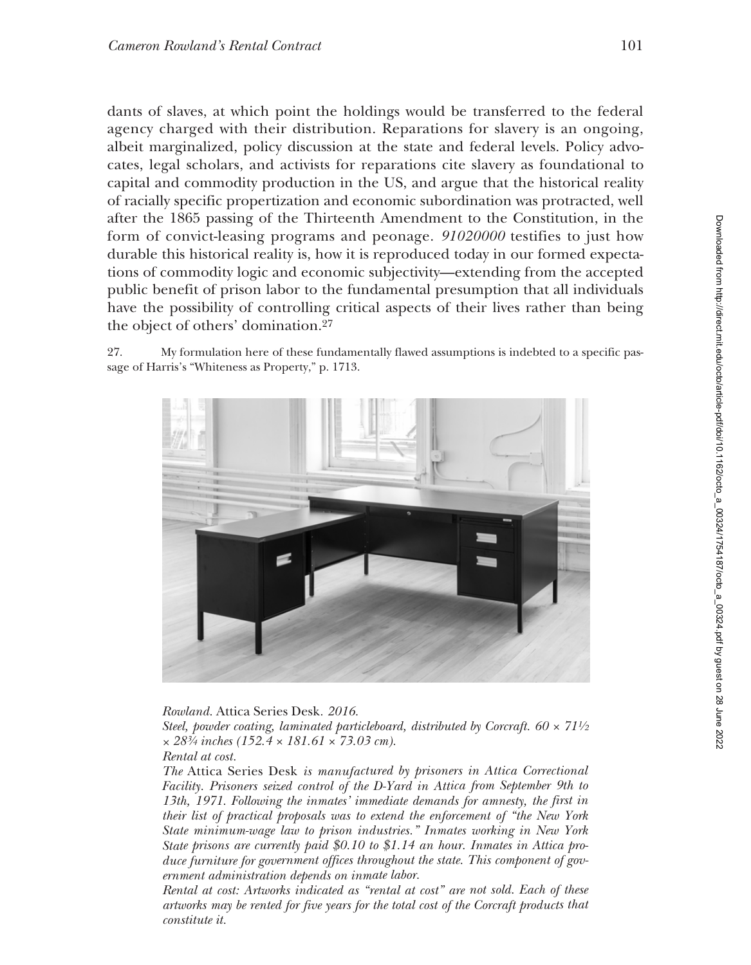dants of slaves, at which point the holdings would be transferred to the federal agency charged with their distribution. Reparations for slavery is an ongoing, albeit marginalized, policy discussion at the state and federal levels. Policy advocates, legal scholars, and activists for reparations cite slavery as foundational to capital and commodity production in the US, and argue that the historical reality of racially specific propertization and economic subordination was protracted, well after the 1865 passing of the Thirteenth Amendment to the Constitution, in the form of convict-leasing programs and peonage. *91020000* testifies to just how durable this historical reality is, how it is reproduced today in our formed expectations of commodity logic and economic subjectivity—extending from the accepted public benefit of prison labor to the fundamental presumption that all individuals have the possibility of controlling critical aspects of their lives rather than being the object of others' domination.27

27. My formulation here of these fundamentally flawed assumptions is indebted to a specific passage of Harris's "Whiteness as Property," p. 1713.



*Rowland.* Attica Series Desk*. 2016. Steel, powder coating, laminated particleboard, distributed by Corcraft. 60 × 71½ × 28¾ inches (152.4 × 181.61 × 73.03 cm). Rental at cost.* 

*The* Attica Series Desk *is manufactured by prisoners in Attica Correctional Facility. Prisoners seized control of the D-Yard in Attica from September 9th to 13th, 1971. Following the inmates' immediate demands for amnesty, the first in their list of practical proposals was to extend the enforcement of "the New York State minimum-wage law to prison industries." Inmates working in New York State prisons are currently paid \$0.10 to \$1.14 an hour. Inmates in Attica produce furniture for government offices throughout the state. This component of government administration depends on inmate labor.*

*Rental at cost: Artworks indicated as "rental at cost" are not sold. Each of these artworks may be rented for five years for the total cost of the Corcraft products that constitute it.*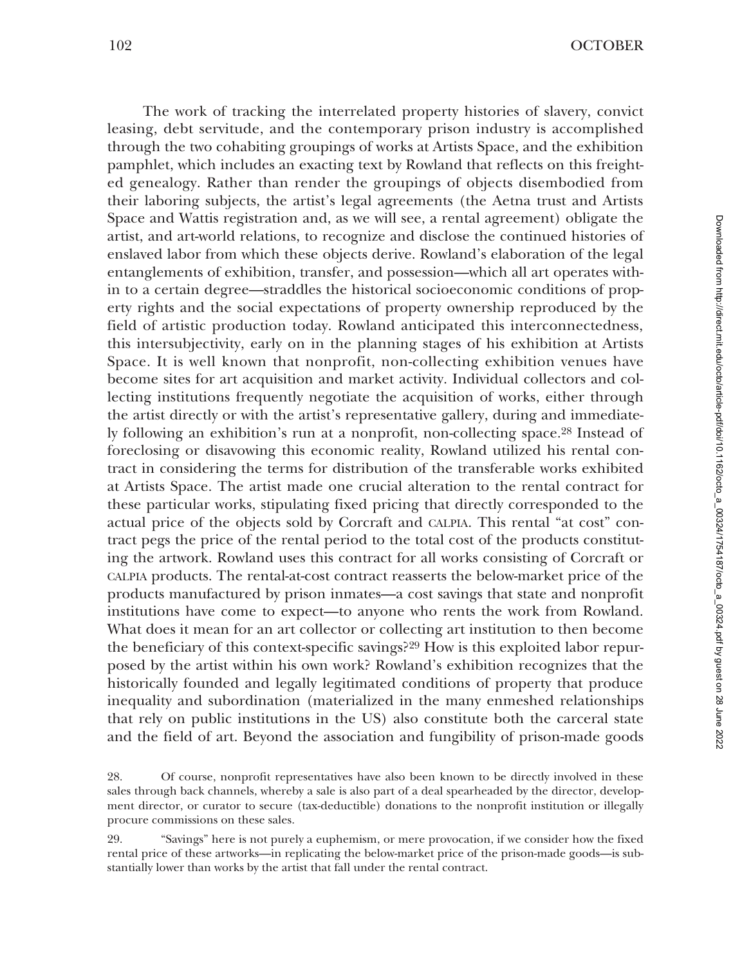The work of tracking the interrelated property histories of slavery, convict leasing, debt servitude, and the contemporary prison industry is accomplished through the two cohabiting groupings of works at Artists Space, and the exhibition pamphlet, which includes an exacting text by Rowland that reflects on this freighted genealogy. Rather than render the groupings of objects disembodied from their laboring subjects, the artist's legal agreements (the Aetna trust and Artists Space and Wattis registration and, as we will see, a rental agreement) obligate the artist, and art-world relations, to recognize and disclose the continued histories of enslaved labor from which these objects derive. Rowland's elaboration of the legal entanglements of exhibition, transfer, and possession—which all art operates within to a certain degree—straddles the historical socioeconomic conditions of property rights and the social expectations of property ownership reproduced by the field of artistic production today. Rowland anticipated this interconnectedness, this intersubjectivity, early on in the planning stages of his exhibition at Artists Space. It is well known that nonprofit, non-collecting exhibition venues have become sites for art acquisition and market activity. Individual collectors and collecting institutions frequently negotiate the acquisition of works, either through the artist directly or with the artist's representative gallery, during and immediately following an exhibition's run at a nonprofit, non-collecting space.28 Instead of foreclosing or disavowing this economic reality, Rowland utilized his rental contract in considering the terms for distribution of the transferable works exhibited at Artists Space. The artist made one crucial alteration to the rental contract for these particular works, stipulating fixed pricing that directly corresponded to the actual price of the objects sold by Corcraft and CALPIA. This rental "at cost" contract pegs the price of the rental period to the total cost of the products constituting the artwork. Rowland uses this contract for all works consisting of Corcraft or CALPIA products. The rental-at-cost contract reasserts the below-market price of the products manufactured by prison inmates—a cost savings that state and nonprofit institutions have come to expect—to anyone who rents the work from Rowland. What does it mean for an art collector or collecting art institution to then become the beneficiary of this context-specific savings?29 How is this exploited labor repurposed by the artist within his own work? Rowland's exhibition recognizes that the historically founded and legally legitimated conditions of property that produce inequality and subordination (materialized in the many enmeshed relationships that rely on public institutions in the US) also constitute both the carceral state and the field of art. Beyond the association and fungibility of prison-made goods

<sup>28.</sup> of course, nonprofit representatives have also been known to be directly involved in these sales through back channels, whereby a sale is also part of a deal spearheaded by the director, development director, or curator to secure (tax-deductible) donations to the nonprofit institution or illegally procure commissions on these sales.

<sup>29. &</sup>quot;Savings" here is not purely a euphemism, or mere provocation, if we consider how the fixed rental price of these artworks—in replicating the below-market price of the prison-made goods—is substantially lower than works by the artist that fall under the rental contract.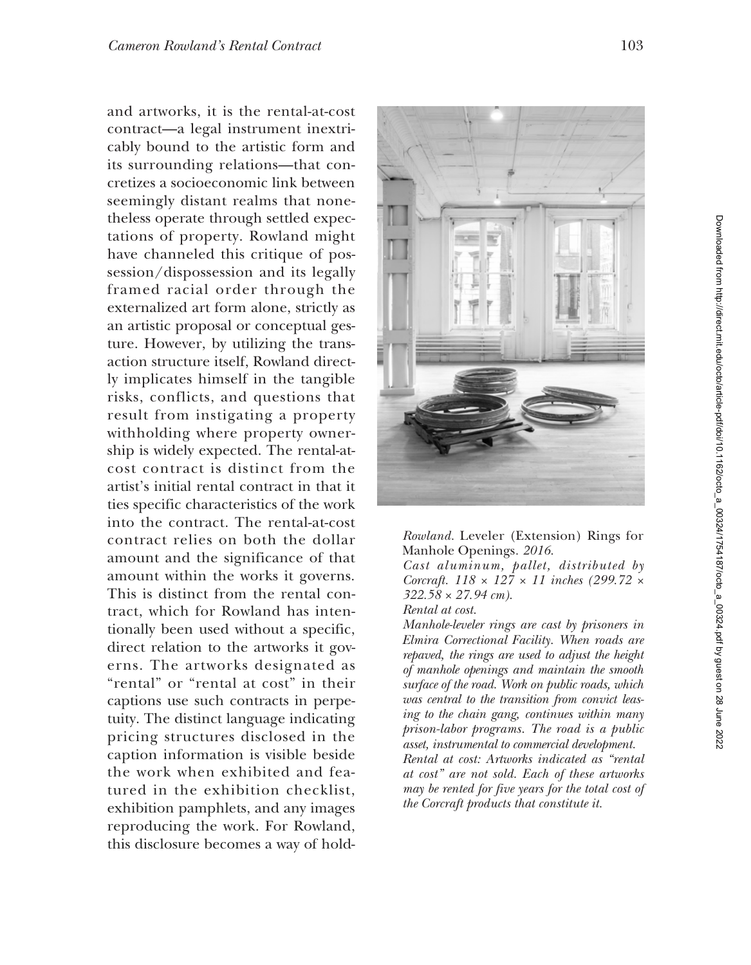and artworks, it is the rental-at-cost contract—a legal instrument inextricably bound to the artistic form and its surrounding relations—that concretizes a socioeconomic link be tween seemingly distant realms that nonetheless operate through settled expectations of property. Rowland might have channeled this critique of possession/dispossession and its legally framed racial order through the externalized art form alone, strictly as an artistic proposal or conceptual gesture. However, by utilizing the transaction structure itself, Rowland directly implicates himself in the tangible risks, conflicts, and questions that result from instigating a property withholding where property ownership is widely expected. The rental-atcost contract is distinct from the artist's initial rental contract in that it ties specific characteristics of the work into the contract. The rental-at-cost contract relies on both the dollar amount and the significance of that amount within the works it governs. This is distinct from the rental contract, which for Rowland has intentionally been used without a specific, direct relation to the artworks it governs. The artworks designated as "rental" or "rental at cost" in their captions use such contracts in perpetuity. The distinct language indicating pricing structures disclosed in the caption information is visible beside the work when exhibited and featured in the exhibition checklist, exhibition pamphlets, and any images reproducing the work. For Rowland, this disclosure becomes a way of hold-



*Rowland.* Leveler (Extension) Rings for Manhole openings*. 2016.* 

*Cast aluminum, pallet, distributed by Corcraft. 118 × 127 × 11 inches (299.72 × 322.58 × 27.94 cm).* 

*Rental at cost.*

*Manhole-leveler rings are cast by prisoners in Elmira Correctional Facility. When roads are repaved, the rings are used to adjust the height of manhole openings and maintain the smooth surface of the road. Work on public roads, which was central to the transition from convict leasing to the chain gang, continues within many prison-labor programs. The road is a public asset, instrumental to commercial development. Rental at cost: Artworks indicated as "rental at cost" are not sold. Each of these artworks may be rented for five years for the total cost of the Corcraft products that constitute it.*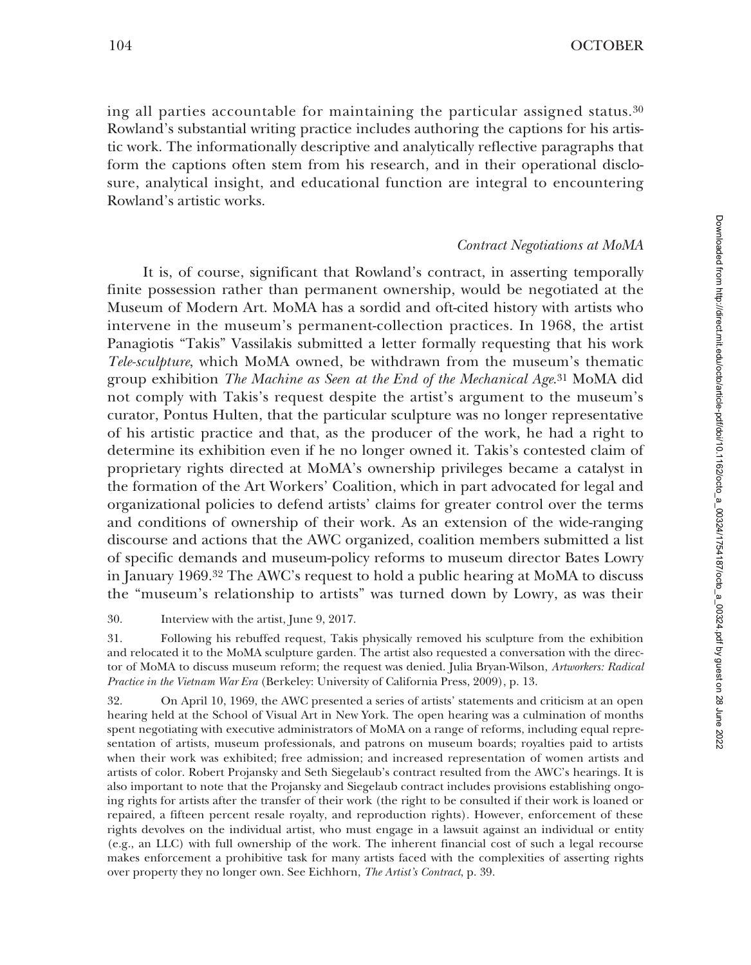ing all parties accountable for maintaining the particular assigned status.<sup>30</sup> Rowland's substantial writing practice includes authoring the captions for his artistic work. The informationally descriptive and analytically reflective paragraphs that form the captions often stem from his research, and in their operational disclosure, analytical insight, and educational function are integral to encountering Rowland's artistic works.

#### *Contract Negotiations at MoMA*

It is, of course, significant that Rowland's contract, in asserting temporally finite possession rather than permanent ownership, would be negotiated at the Museum of Modern Art. MoMA has a sordid and oft-cited history with artists who intervene in the museum's permanent-collection practices. In 1968, the artist Panagiotis "Takis" Vassilakis submitted a letter formally requesting that his work *Tele-sculpture*, which MoMA owned, be withdrawn from the museum's thematic group exhibition *The Machine as Seen at the End of the Mechanical Age*.31 MoMA did not comply with Takis's request despite the artist's argument to the museum's curator, Pontus Hulten, that the particular sculpture was no longer representative of his artistic practice and that, as the producer of the work, he had a right to determine its exhibition even if he no longer owned it. Takis's contested claim of proprietary rights directed at MoMA's ownership privileges became a catalyst in the formation of the Art Workers' Coalition, which in part advocated for legal and organizational policies to defend artists' claims for greater control over the terms and conditions of ownership of their work. As an extension of the wide-ranging discourse and actions that the AWC organized, coalition members submitted a list of specific demands and museum-policy reforms to museum director Bates Lowry in January 1969.32 The AWC's request to hold a public hearing at MoMA to discuss the "museum's relationship to artists" was turned down by Lowry, as was their

30. Interview with the artist, June 9, 2017.

31. Following his rebuffed request, Takis physically removed his sculpture from the exhibition and relocated it to the MoMA sculpture garden. The artist also requested a conversation with the director of MoMA to discuss museum reform; the request was denied. Julia Bryan-Wilson, *Artworkers: Radical Practice in the Vietnam War Era* (Berkeley: University of California Press, 2009), p. 13.

32. on April 10, 1969, the AWC presented a series of artists' statements and criticism at an open hearing held at the School of Visual Art in New York. The open hearing was a culmination of months spent negotiating with executive administrators of MoMA on a range of reforms, including equal representation of artists, museum professionals, and patrons on museum boards; royalties paid to artists when their work was exhibited; free admission; and increased representation of women artists and artists of color. Robert Projansky and Seth Siegelaub's contract resulted from the AWC's hearings. It is also important to note that the Projansky and Siegelaub contract includes provisions establishing ongoing rights for artists after the transfer of their work (the right to be consulted if their work is loaned or repaired, a fifteen percent resale royalty, and reproduction rights). However, enforcement of these rights devolves on the individual artist, who must engage in a lawsuit against an individual or entity (e.g., an LLC) with full ownership of the work. The inherent financial cost of such a legal recourse makes enforcement a prohibitive task for many artists faced with the complexities of asserting rights over property they no longer own. See Eichhorn, *The Artist's Contract*, p. 39.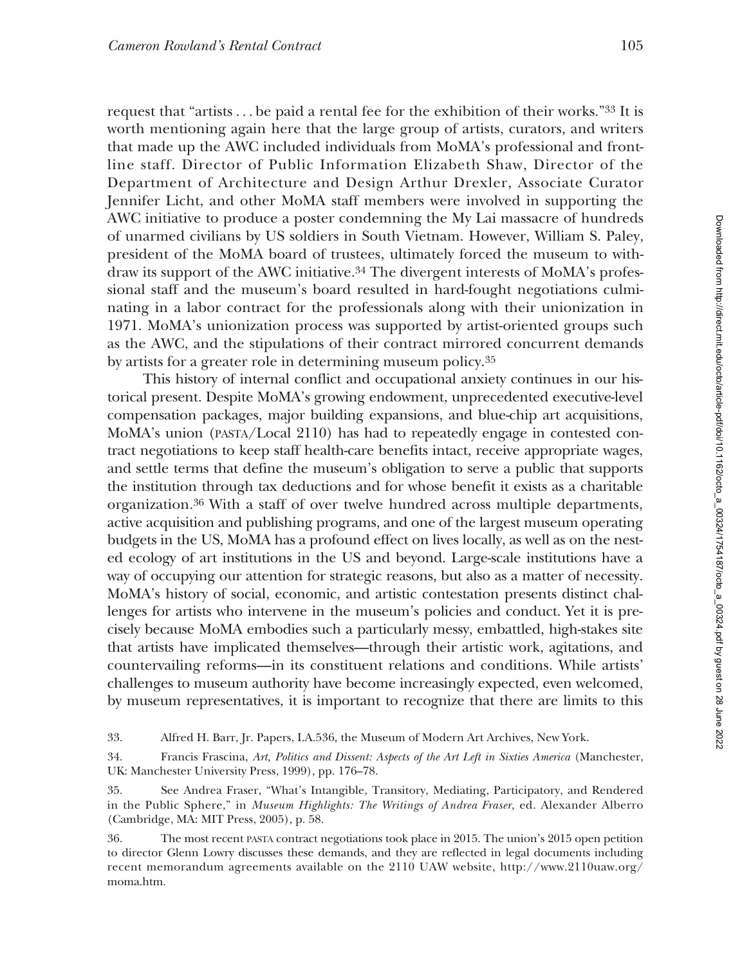request that "artists . . . be paid a rental fee for the exhibition of their works."33 It is worth mentioning again here that the large group of artists, curators, and writers that made up the AWC included individuals from MoMA's professional and frontline staff. Director of Public Information Elizabeth Shaw, Director of the Department of Architecture and Design Arthur Drexler, Associate Curator Jennifer Licht, and other MoMA staff members were involved in supporting the AWC initiative to produce a poster condemning the My Lai massacre of hundreds of unarmed civilians by US soldiers in South Vietnam. However, William S. Paley, president of the MoMA board of trustees, ultimately forced the museum to withdraw its support of the AWC initiative.34 The divergent interests of MoMA's professional staff and the museum's board resulted in hard-fought negotiations culminating in a labor contract for the professionals along with their unionization in 1971. MoMA's unionization process was supported by artist-oriented groups such as the AWC, and the stipulations of their contract mirrored concurrent demands by artists for a greater role in determining museum policy.35

This history of internal conflict and occupational anxiety continues in our historical present. Despite MoMA's growing endowment, unprecedented executive-level compensation packages, major building expansions, and blue-chip art acquisitions, MoMA's union (PASTA/Local 2110) has had to repeatedly engage in contested contract negotiations to keep staff health-care benefits intact, receive appropriate wages, and settle terms that define the museum's obligation to serve a public that supports the institution through tax deductions and for whose benefit it exists as a charitable organization.36 With a staff of over twelve hundred across multiple departments, active acquisition and publishing programs, and one of the largest museum operating budgets in the US, MoMA has a profound effect on lives locally, as well as on the nested ecology of art institutions in the US and beyond. Large-scale institutions have a way of occupying our attention for strategic reasons, but also as a matter of necessity. MoMA's history of social, economic, and artistic contestation presents distinct challenges for artists who intervene in the museum's policies and conduct. Yet it is precisely because MoMA embodies such a particularly messy, embattled, high-stakes site that artists have implicated themselves—through their artistic work, agitations, and countervailing reforms—in its constituent relations and conditions. While artists' challenges to museum authority have become increasingly expected, even welcomed, by museum representatives, it is important to recognize that there are limits to this

<sup>33.</sup> Alfred H. Barr, Jr. Papers, I.A.536, the Museum of Modern Art Archives, New York.

<sup>34.</sup> Francis Frascina, *Art, Politics and Dissent: Aspects of the Art Left in Sixties America* (Manchester, UK: Manchester University Press, 1999), pp. 176–78.

<sup>35.</sup> See Andrea Fraser, "What's Intangible, Transitory, Mediating, Participatory, and Rendered in the Public Sphere," in *Museum Highlights: The Writings of Andrea Fraser*, ed. Alexander Alberro (Cambridge, MA: MIT Press, 2005), p. 58.

<sup>36.</sup> The most recent PASTA contract negotiations took place in 2015. The union's 2015 open petition to director Glenn Lowry discusses these demands, and they are reflected in legal documents including recent memorandum agreements available on the 2110 UAW website, http://www.2110uaw.org/ moma.htm.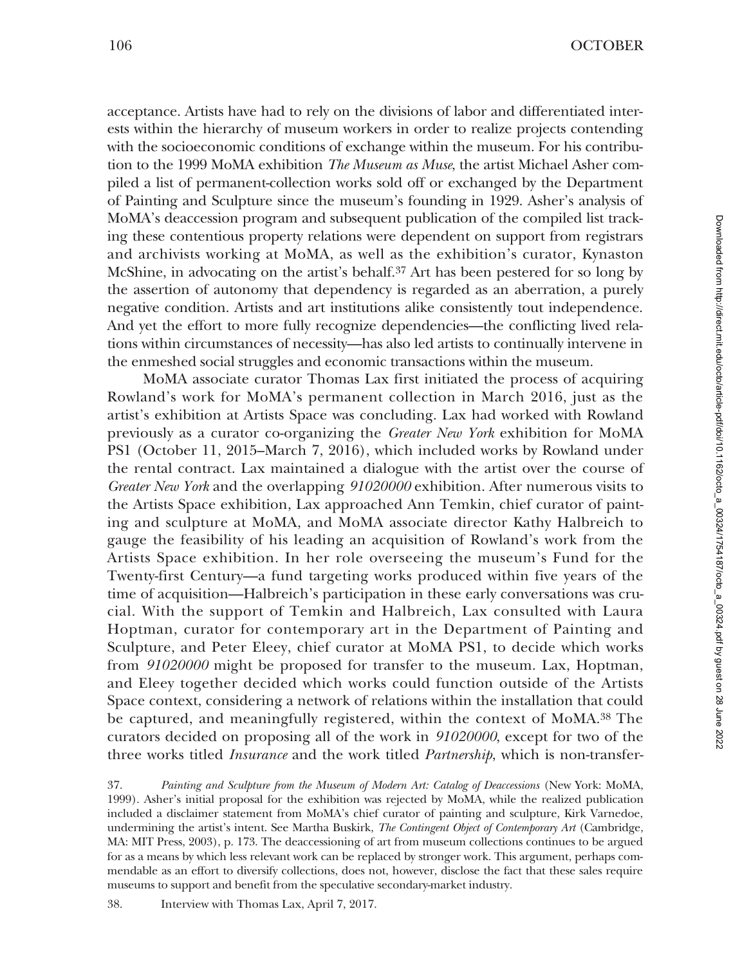acceptance. Artists have had to rely on the divisions of labor and differentiated interests within the hierarchy of museum workers in order to realize projects contending with the socioeconomic conditions of exchange within the museum. For his contribution to the 1999 MoMA exhibition *The Museum as Muse*, the artist Michael Asher compiled a list of permanent-collection works sold off or exchanged by the Department of Painting and Sculpture since the museum's founding in 1929. Asher's analysis of MoMA's deaccession program and subsequent publication of the compiled list tracking these contentious property relations were dependent on support from registrars and archivists working at MoMA, as well as the exhibition's curator, Kynaston McShine, in advocating on the artist's behalf.<sup>37</sup> Art has been pestered for so long by the assertion of autonomy that dependency is regarded as an aberration, a purely negative condition. Artists and art institutions alike consistently tout independence. And yet the effort to more fully recognize dependencies—the conflicting lived relations within circumstances of necessity—has also led artists to continually intervene in the enmeshed social struggles and economic transactions within the museum.

MoMA associate curator Thomas Lax first initiated the process of acquiring Rowland's work for MoMA's permanent collection in March 2016, just as the artist's exhibition at Artists Space was concluding. Lax had worked with Rowland previously as a curator co-organizing the *Greater New York* exhibition for MoMA PS1 (October 11, 2015–March 7, 2016), which included works by Rowland under the rental contract. Lax maintained a dialogue with the artist over the course of *Greater New York* and the overlapping *91020000* exhibition. After numerous visits to the Artists Space exhibition, Lax approached Ann Temkin, chief curator of painting and sculpture at MoMA, and MoMA associate director Kathy Halbreich to gauge the feasibility of his leading an acquisition of Rowland's work from the Artists Space exhibition. In her role overseeing the museum's Fund for the Twenty-first Century—a fund targeting works produced within five years of the time of acquisition—Halbreich's participation in these early conversations was crucial. With the support of Temkin and Halbreich, Lax consulted with Laura Hoptman, curator for contemporary art in the Department of Painting and Sculpture, and Peter Eleey, chief curator at MoMA PS1, to decide which works from *91020000* might be proposed for transfer to the museum. Lax, Hoptman, and Eleey together decided which works could function outside of the Artists Space context, considering a network of relations within the installation that could be captured, and meaningfully registered, within the context of MoMA.38 The curators decided on proposing all of the work in *91020000*, except for two of the three works titled *Insurance* and the work titled *Partnership*, which is non-transfer-

37. *Painting and Sculpture from the Museum of Modern Art: Catalog of Deaccessions*  (New York: MoMA, 1999). Asher's initial proposal for the exhibition was rejected by MoMA, while the realized publication included a disclaimer statement from MoMA's chief curator of painting and sculpture, Kirk Varnedoe, undermining the artist's intent. See Martha Buskirk, *The Contingent Object of Contemporary Art* (Cambridge, MA: MIT Press, 2003), p. 173. The deaccessioning of art from museum collections continues to be argued for as a means by which less relevant work can be replaced by stronger work. This argument, perhaps commendable as an effort to diversify collections, does not, however, disclose the fact that these sales require museums to support and benefit from the speculative secondary-market industry.

38. Interview with Thomas Lax, April 7, 2017.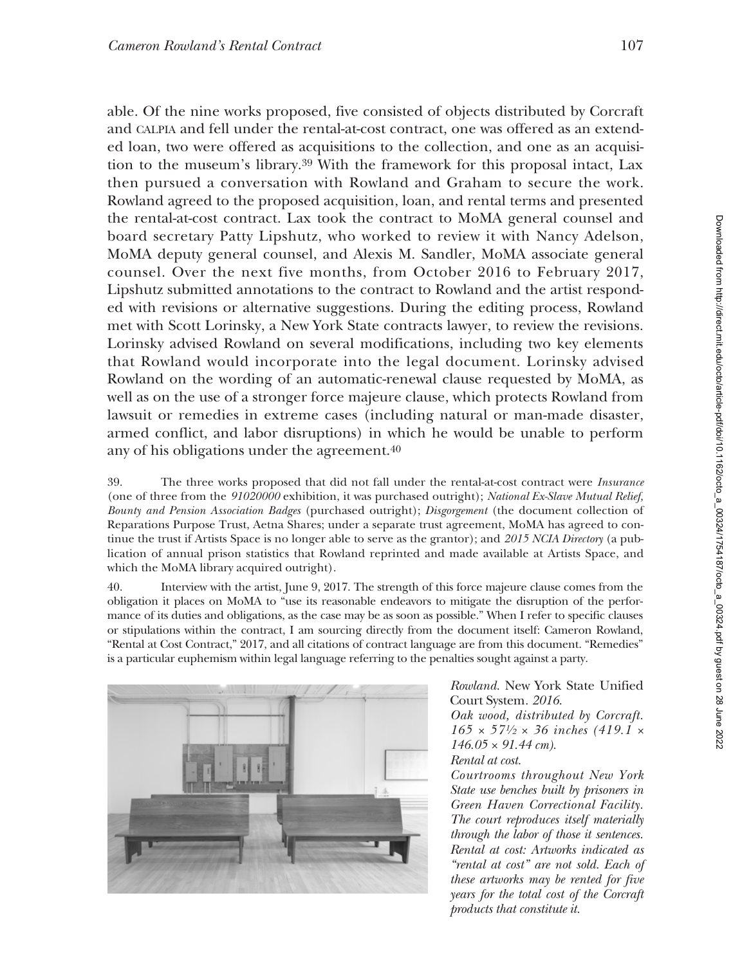able. of the nine works proposed, five consisted of objects distributed by Corcraft and CALPIA and fell under the rental-at-cost contract, one was offered as an extended loan, two were offered as acquisitions to the collection, and one as an acquisition to the museum's library.39 With the framework for this proposal intact, Lax then pursued a conversation with Rowland and Graham to secure the work. Rowland agreed to the proposed acquisition, loan, and rental terms and presented the rental-at-cost contract. Lax took the contract to MoMA general counsel and board secretary Patty Lipshutz, who worked to review it with Nancy Adelson, MoMA deputy general counsel, and Alexis M. Sandler, MoMA associate general counsel. Over the next five months, from October 2016 to February 2017, Lipshutz submitted annotations to the contract to Rowland and the artist responded with revisions or alternative suggestions. During the editing process, Rowland met with Scott Lorinsky, a New York State contracts lawyer, to review the revisions. Lorinsky advised Rowland on several modifications, including two key elements that Rowland would incorporate into the legal document. Lorinsky advised Rowland on the wording of an automatic-renewal clause requested by MoMA, as well as on the use of a stronger force majeure clause, which protects Rowland from lawsuit or remedies in extreme cases (including natural or man-made disaster, armed conflict, and labor disruptions) in which he would be unable to perform any of his obligations under the agreement.40

39. The three works proposed that did not fall under the rental-at-cost contract were *Insurance* (one of three from the *91020000* exhibition, it was purchased outright); *National Ex-Slave Mutual Relief, Bounty and Pension Association Badges* (purchased outright); *Disgorgement* (the document collection of Reparations Purpose Trust, Aetna Shares; under a separate trust agreement, MoMA has agreed to continue the trust if Artists Space is no longer able to serve as the grantor); and *2015 NCIA Directory* (a publication of annual prison statistics that Rowland reprinted and made available at Artists Space, and which the MoMA library acquired outright).

40. Interview with the artist, June 9, 2017. The strength of this force majeure clause comes from the obligation it places on MoMA to "use its reasonable endeavors to mitigate the disruption of the performance of its duties and obligations, as the case may be as soon as possible." When I refer to specific clauses or stipulations within the contract, I am sourcing directly from the document itself: Cameron Rowland, "Rental at Cost Contract," 2017, and all citations of contract language are from this document. "Remedies" is a particular euphemism within legal language referring to the penalties sought against a party.



# *Rowland.* New York State Unified Court System*. 2016. Oak wood, distributed by Corcraft.*

*165 × 57½ × 36 inches (419.1 × 146.05 × 91.44 cm). Rental at cost.* 

*Courtrooms throughout New York State use benches built by prisoners in Green Haven Correctional Facility. The court reproduces itself materially through the labor of those it sentences. Rental at cost: Artworks indicated as "rental at cost" are not sold. Each of these artworks may be rented for five years for the total cost of the Corcraft products that constitute it.*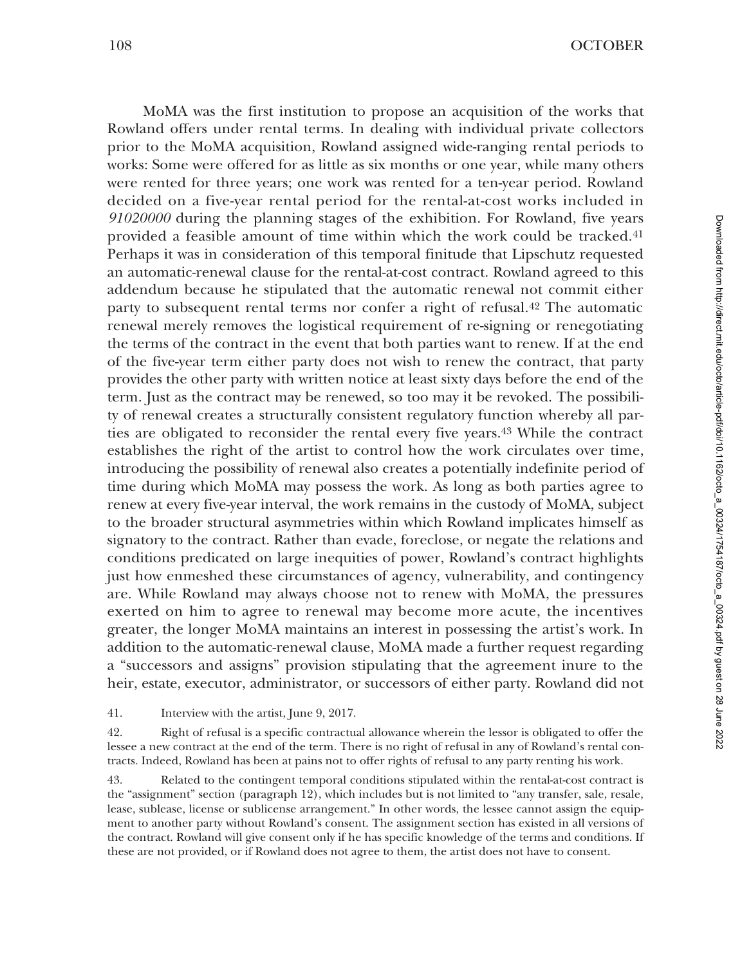MoMA was the first institution to propose an acquisition of the works that Rowland offers under rental terms. In dealing with individual private collectors prior to the MoMA acquisition, Rowland assigned wide-ranging rental periods to works: Some were offered for as little as six months or one year, while many others were rented for three years; one work was rented for a ten-year period. Rowland decided on a five-year rental period for the rental-at-cost works included in *91020000* during the planning stages of the exhibition. For Rowland, five years provided a feasible amount of time within which the work could be tracked.41 Perhaps it was in consideration of this temporal finitude that Lipschutz requested an automatic-renewal clause for the rental-at-cost contract. Rowland agreed to this addendum because he stipulated that the automatic renewal not commit either party to subsequent rental terms nor confer a right of refusal.42 The automatic renewal merely removes the logistical requirement of re-signing or renegotiating the terms of the contract in the event that both parties want to renew. If at the end of the five-year term either party does not wish to renew the contract, that party provides the other party with written notice at least sixty days before the end of the term. Just as the contract may be renewed, so too may it be revoked. The possibility of renewal creates a structurally consistent regulatory function whereby all parties are obligated to reconsider the rental every five years.43 While the contract establishes the right of the artist to control how the work circulates over time, introducing the possibility of renewal also creates a potentially indefinite period of time during which MoMA may possess the work. As long as both parties agree to renew at every five-year interval, the work remains in the custody of MoMA, subject to the broader structural asymmetries within which Rowland implicates himself as signatory to the contract. Rather than evade, foreclose, or negate the relations and conditions predicated on large inequities of power, Rowland's contract highlights just how enmeshed these circumstances of agency, vulnerability, and contingency are. While Rowland may always choose not to renew with MoMA, the pressures exerted on him to agree to renewal may become more acute, the incentives greater, the longer MoMA maintains an interest in possessing the artist's work. In addition to the automatic-renewal clause, MoMA made a further request regarding a "successors and assigns" provision stipulating that the agreement inure to the heir, estate, executor, administrator, or successors of either party. Rowland did not

41. Interview with the artist, June 9, 2017.

42. Right of refusal is a specific contractual allowance wherein the lessor is obligated to offer the lessee a new contract at the end of the term. There is no right of refusal in any of Rowland's rental contracts. Indeed, Rowland has been at pains not to offer rights of refusal to any party renting his work.

43. Related to the contingent temporal conditions stipulated within the rental-at-cost contract is the "assignment" section (paragraph 12), which includes but is not limited to "any transfer, sale, resale, lease, sublease, license or sublicense arrangement." In other words, the lessee cannot assign the equipment to another party without Rowland's consent. The assignment section has existed in all versions of the contract. Rowland will give consent only if he has specific knowledge of the terms and conditions. If these are not provided, or if Rowland does not agree to them, the artist does not have to consent.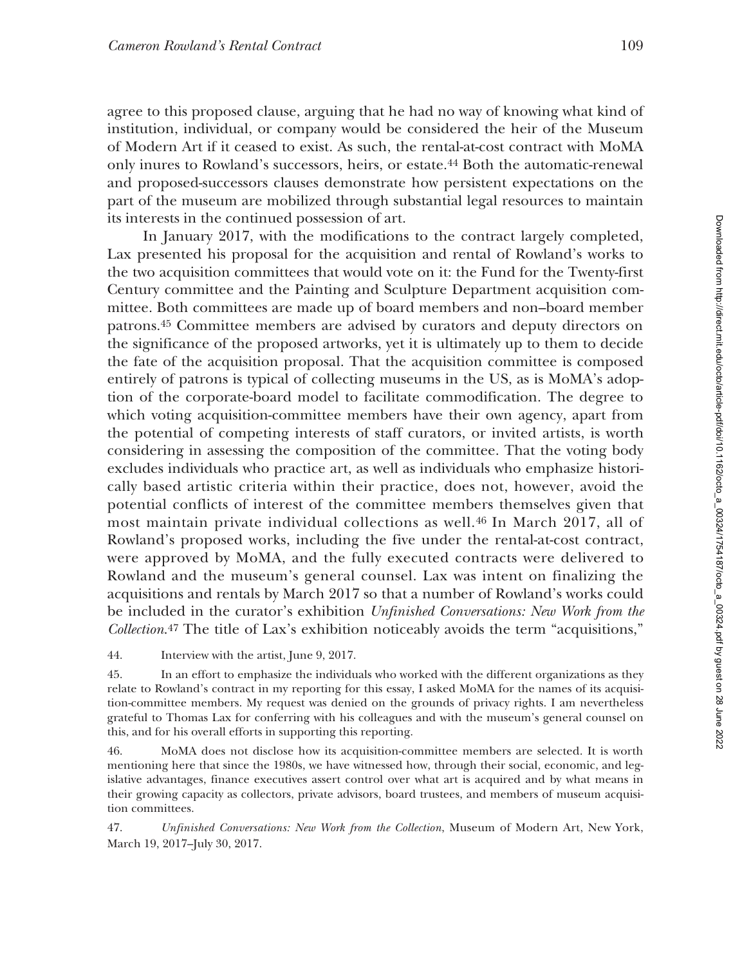agree to this proposed clause, arguing that he had no way of knowing what kind of institution, individual, or company would be considered the heir of the Museum of Modern Art if it ceased to exist. As such, the rental-at-cost contract with MoMA only inures to Rowland's successors, heirs, or estate.44 Both the automatic-renewal and proposed-successors clauses demonstrate how persistent expectations on the part of the museum are mobilized through substantial legal resources to maintain its interests in the continued possession of art.

In January 2017, with the modifications to the contract largely completed, Lax presented his proposal for the acquisition and rental of Rowland's works to the two acquisition committees that would vote on it: the Fund for the Twenty-first Century committee and the Painting and Sculpture Department acquisition committee. Both committees are made up of board members and non–board member patrons.45 Committee members are advised by curators and deputy directors on the significance of the proposed artworks, yet it is ultimately up to them to decide the fate of the acquisition proposal. That the acquisition committee is composed entirely of patrons is typical of collecting museums in the US, as is MoMA's adoption of the corporate-board model to facilitate commodification. The degree to which voting acquisition-committee members have their own agency, apart from the potential of competing interests of staff curators, or invited artists, is worth considering in assessing the composition of the committee. That the voting body excludes individuals who practice art, as well as individuals who emphasize historically based artistic criteria within their practice, does not, however, avoid the potential conflicts of interest of the committee members themselves given that most maintain private individual collections as well.46 In March 2017, all of Rowland's proposed works, including the five under the rental-at-cost contract, were approved by MoMA, and the fully executed contracts were delivered to Rowland and the museum's general counsel. Lax was intent on finalizing the acquisitions and rentals by March 2017 so that a number of Rowland's works could be included in the curator's exhibition *Unfinished Conversations: New Work from the Collection*.47 The title of Lax's exhibition noticeably avoids the term "acquisitions,"

44. Interview with the artist, June 9, 2017.

45. In an effort to emphasize the individuals who worked with the different organizations as they relate to Rowland's contract in my reporting for this essay, I asked MoMA for the names of its acquisition-committee members. My request was denied on the grounds of privacy rights. I am nevertheless grateful to Thomas Lax for conferring with his colleagues and with the museum's general counsel on this, and for his overall efforts in supporting this reporting.

46. MoMA does not disclose how its acquisition-committee members are selected. It is worth mentioning here that since the 1980s, we have witnessed how, through their social, economic, and legislative advantages, finance executives assert control over what art is acquired and by what means in their growing capacity as collectors, private advisors, board trustees, and members of museum acquisition committees.

47. *Unfinished Conversations: New Work from the Collection*, Museum of Modern Art, New York, March 19, 2017–July 30, 2017.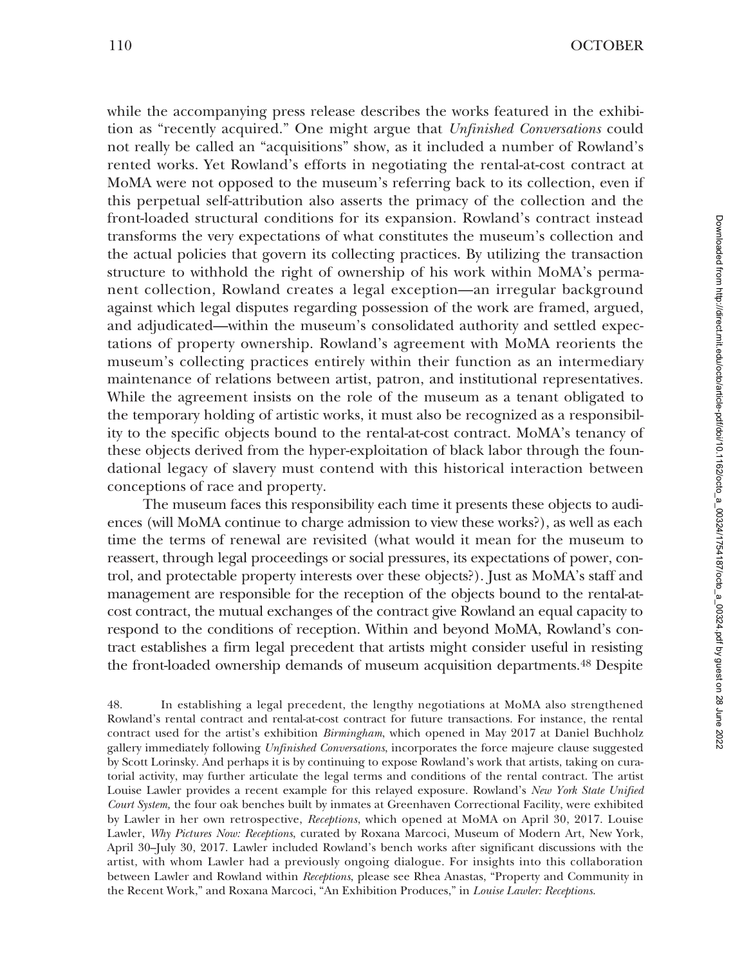while the accompanying press release describes the works featured in the exhibition as "recently acquired." one might argue that *Unfinished Conversations* could not really be called an "acquisitions" show, as it included a number of Rowland's rented works. Yet Rowland's efforts in negotiating the rental-at-cost contract at MoMA were not opposed to the museum's referring back to its collection, even if this perpetual self-attribution also asserts the primacy of the collection and the front-loaded structural conditions for its expansion. Rowland's contract instead transforms the very expectations of what constitutes the museum's collection and the actual policies that govern its collecting practices. By utilizing the transaction structure to withhold the right of ownership of his work within MoMA's permanent collection, Rowland creates a legal exception—an irregular background against which legal disputes regarding possession of the work are framed, argued, and adjudicated—within the museum's consolidated authority and settled expectations of property ownership. Rowland's agreement with MoMA reorients the museum's collecting practices entirely within their function as an intermediary maintenance of relations between artist, patron, and institutional representatives. While the agreement insists on the role of the museum as a tenant obligated to the temporary holding of artistic works, it must also be recognized as a responsibility to the specific objects bound to the rental-at-cost contract. MoMA's tenancy of these objects derived from the hyper-exploitation of black labor through the foundational legacy of slavery must contend with this historical interaction between conceptions of race and property.

The museum faces this responsibility each time it presents these objects to audiences (will MoMA continue to charge admission to view these works?), as well as each time the terms of renewal are revisited (what would it mean for the museum to reassert, through legal proceedings or social pressures, its expectations of power, control, and protectable property interests over these objects?). Just as MoMA's staff and management are responsible for the reception of the objects bound to the rental-atcost contract, the mutual exchanges of the contract give Rowland an equal capacity to respond to the conditions of reception. Within and beyond MoMA, Rowland's contract establishes a firm legal precedent that artists might consider useful in resisting the front-loaded ownership demands of museum acquisition departments.48 Despite

48. In establishing a legal precedent, the lengthy negotiations at MoMA also strengthened Rowland's rental contract and rental-at-cost contract for future transactions. For instance, the rental contract used for the artist's exhibition *Birmingham*, which opened in May 2017 at Daniel Buchholz gallery immediately following *Unfinished Conversations*, incorporates the force majeure clause suggested by Scott Lorinsky. And perhaps it is by continuing to expose Rowland's work that artists, taking on curatorial activity, may further articulate the legal terms and conditions of the rental contract. The artist Louise Lawler provides a recent example for this relayed exposure. Rowland's *New York State Unified Court System,* the four oak benches built by inmates at Greenhaven Correctional Facility, were exhibited by Lawler in her own retrospective, *Receptions*, which opened at MoMA on April 30, 2017. Louise Lawler, *Why Pictures Now: Receptions*, curated by Roxana Marcoci, Museum of Modern Art, New York, April 30–July 30, 2017. Lawler included Rowland's bench works after significant discussions with the artist, with whom Lawler had a previously ongoing dialogue. For insights into this collaboration between Lawler and Rowland within *Receptions*, please see Rhea Anastas, "Property and Community in the Recent Work," and Roxana Marcoci, "An Exhibition Produces," in *Louise Lawler: Receptions*.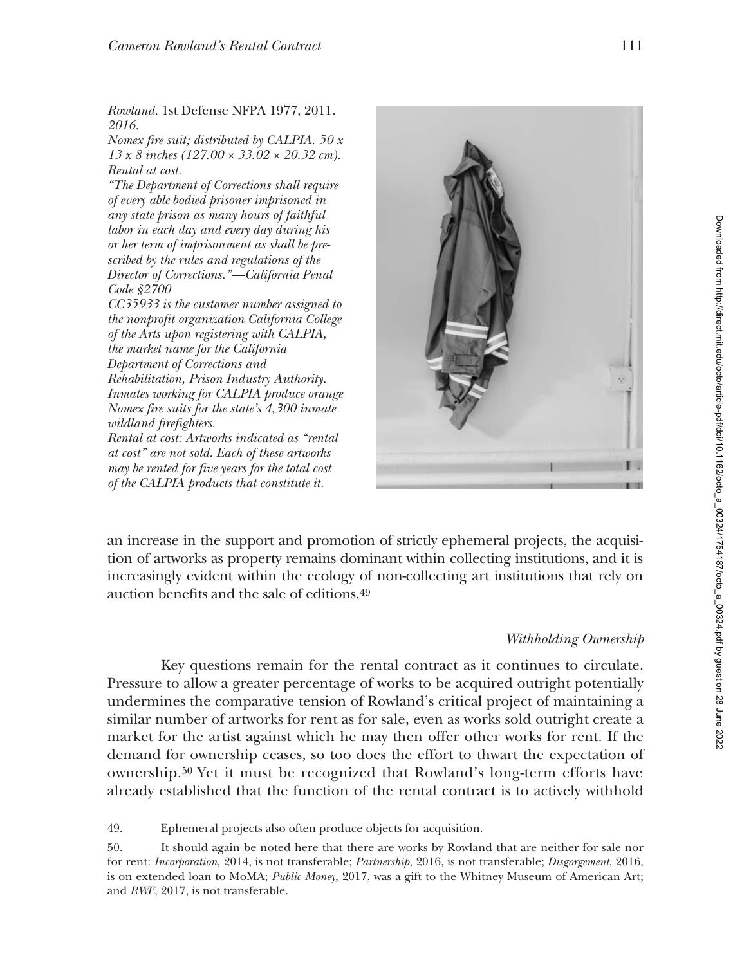*Rowland.* 1st Defense NFPA 1977, 2011. *2016.* 

*Nomex fire suit; distributed by CALPIA. 50 x 13 x 8 inches (127.00 × 33.02 × 20.32 cm). Rental at cost.*

*"The Department of Corrections shall require of every able-bodied prisoner imprisoned in any state prison as many hours of faithful labor in each day and every day during his or her term of imprisonment as shall be prescribed by the rules and regulations of the Director of Corrections."—California Penal Code §2700* 

*CC35933 is the customer number assigned to the nonprofit organization California College of the Arts upon registering with CALPIA, the market name for the California Department of Corrections and Rehabilitation, Prison Industry Authority. Inmates working for CALPIA produce orange*

*Nomex fire suits for the state's 4,300 inmate wildland firefighters.* 

*Rental at cost: Artworks indicated as "rental at cost" are not sold. Each of these artworks may be rented for five years for the total cost of the CALPIA products that constitute it.*



an increase in the support and promotion of strictly ephemeral projects, the acquisition of artworks as property remains dominant within collecting institutions, and it is increasingly evident within the ecology of non-collecting art institutions that rely on auction benefits and the sale of editions.49

## *Withholding Ownership*

Key questions remain for the rental contract as it continues to circulate. Pressure to allow a greater percentage of works to be acquired outright potentially undermines the comparative tension of Rowland's critical project of maintaining a similar number of artworks for rent as for sale, even as works sold outright create a market for the artist against which he may then offer other works for rent. If the demand for ownership ceases, so too does the effort to thwart the expectation of ownership.50 Yet it must be recognized that Rowland's long-term efforts have already established that the function of the rental contract is to actively withhold

49. Ephemeral projects also often produce objects for acquisition.

50. It should again be noted here that there are works by Rowland that are neither for sale nor for rent: *Incorporation,* 2014, is not transferable; *Partnership,* 2016, is not transferable; *Disgorgement*, 2016, is on extended loan to MoMA; *Public Money,* 2017, was a gift to the Whitney Museum of American Art; and *RWE,* 2017, is not transferable.